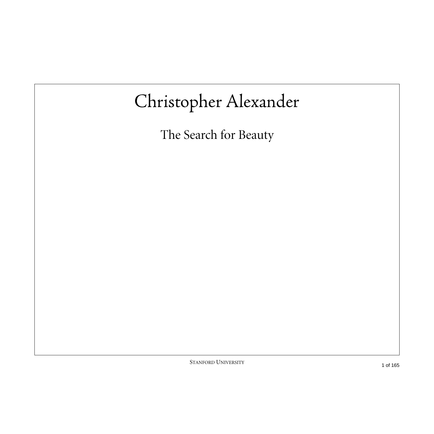# Christopher Alexander

The Search for Beauty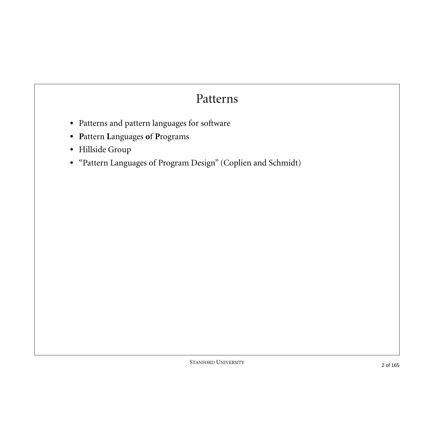#### Patterns

- **•** Patterns and pattern languages for software
- **• P**attern **L**anguages **o**f **P**rograms
- **•** Hillside Group
- **•** "Pattern Languages of Program Design" (Coplien and Schmidt)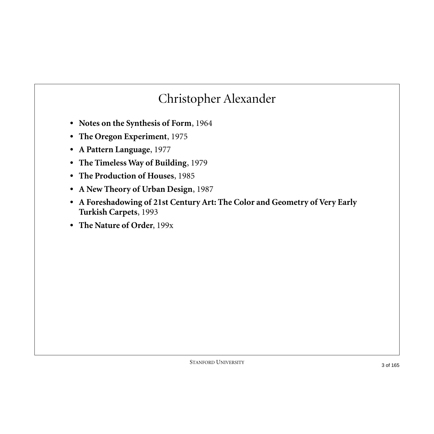#### Christopher Alexander

- **• Notes on the Synthesis of Form**, 1964
- **• The Oregon Experiment**, 1975
- **• A Pattern Language**, 1977
- **• The Timeless Way of Building**, 1979
- **• The Production of Houses**, 1985
- **• A New Theory of Urban Design**, 1987
- **• A Foreshadowing of 21st Century Art: The Color and Geometry of Very Early Turkish Carpets**, 1993
- **• The Nature of Order**, 199x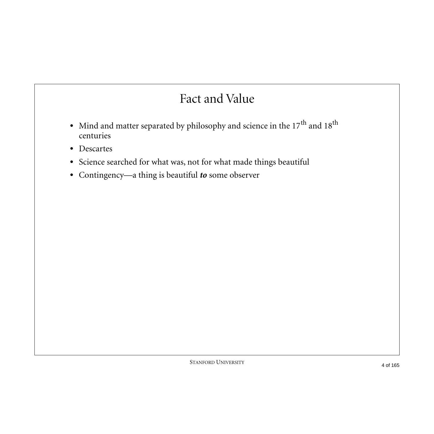#### Fact and Value

- Mind and matter separated by philosophy and science in the 17<sup>th</sup> and 18<sup>th</sup> centuries
- **•** Descartes
- **•** Science searched for what was, not for what made things beautiful
- **•** Contingency—a thing is beautiful *to* some observer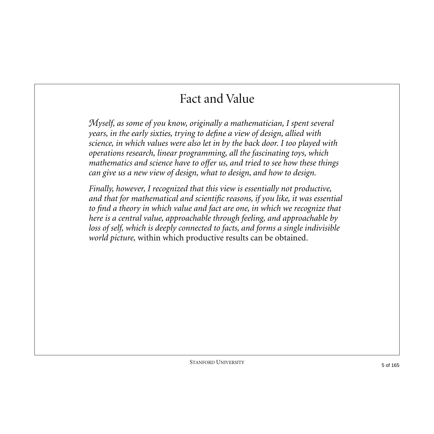# Fact and Value

*Myself, as some of you know, originally a mathematician, I spent several years, in the early sixties, trying to define a view of design, allied with science, in which values were also let in by the back door. I too played with operations research, linear programming, all the fascinating toys, which mathematics and science have to offer us, and tried to see how these things can give us a new view of design, what to design, and how to design.*

*Finally, however, I recognized that this view is essentially not productive, and that for mathematical and scientific reasons, if you like, it was essential to find a theory in which value and fact are one, in which we recognize that here is a central value, approachable through feeling, and approachable by loss of self, which is deeply connected to facts, and forms a single indivisible world picture,* within which productive results can be obtained*.*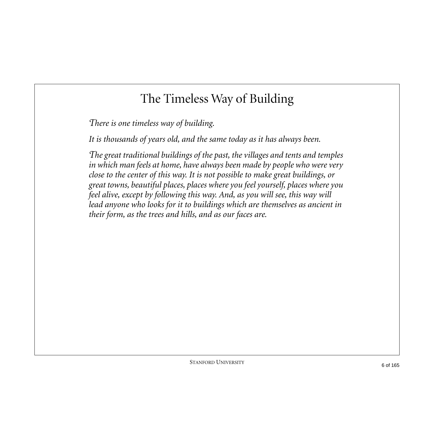# The Timeless Way of Building

*There is one timeless way of building.*

*It is thousands of years old, and the same today as it has always been.*

*The great traditional buildings of the past, the villages and tents and temples in which man feels at home, have always been made by people who were very close to the center of this way. It is not possible to make great buildings, or great towns, beautiful places, places where you feel yourself, places where you feel alive, except by following this way. And, as you will see, this way will lead anyone who looks for it to buildings which are themselves as ancient in their form, as the trees and hills, and as our faces are.*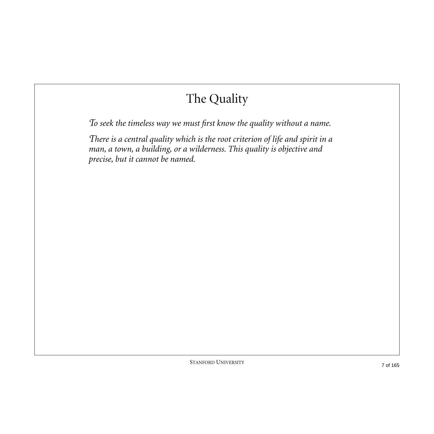*To seek the timeless way we must first know the quality without a name.*

*There is a central quality which is the root criterion of life and spirit in a man, a town, a building, or a wilderness. This quality is objective and precise, but it cannot be named.*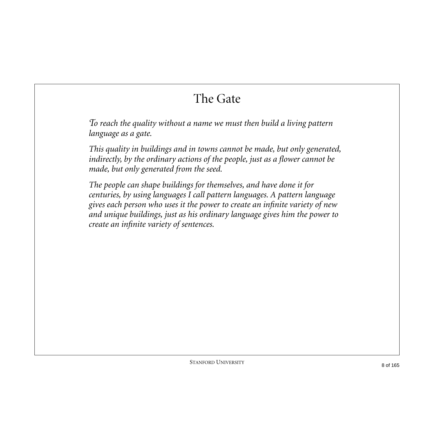# The Gate

*To reach the quality without a name we must then build a living pattern language as a gate.*

*This quality in buildings and in towns cannot be made, but only generated, indirectly, by the ordinary actions of the people, just as a flower cannot be made, but only generated from the seed.*

*The people can shape buildings for themselves, and have done it for centuries, by using languages I call pattern languages. A pattern language gives each person who uses it the power to create an infinite variety of new and unique buildings, just as his ordinary language gives him the power to create an infinite variety of sentences.*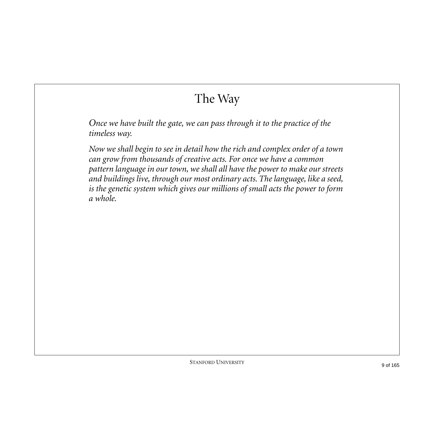# The Way

*Once we have built the gate, we can pass through it to the practice of the timeless way.*

*Now we shall begin to see in detail how the rich and complex order of a town can grow from thousands of creative acts. For once we have a common pattern language in our town, we shall all have the power to make our streets and buildings live, through our most ordinary acts. The language, like a seed, is the genetic system which gives our millions of small acts the power to form a whole.*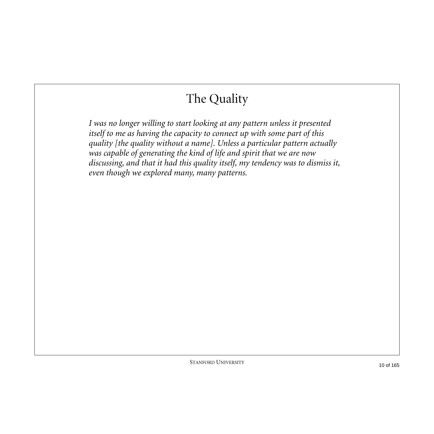*I was no longer willing to start looking at any pattern unless it presented itself to me as having the capacity to connect up with some part of this quality [the quality without a name]. Unless a particular pattern actually was capable of generating the kind of life and spirit that we are now discussing, and that it had this quality itself, my tendency was to dismiss it, even though we explored many, many patterns.*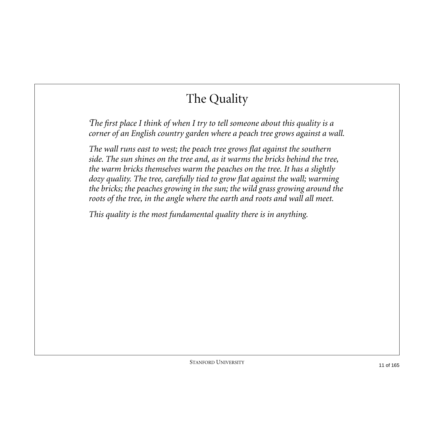*The first place I think of when I try to tell someone about this quality is a corner of an English country garden where a peach tree grows against a wall.*

*The wall runs east to west; the peach tree grows flat against the southern side. The sun shines on the tree and, as it warms the bricks behind the tree, the warm bricks themselves warm the peaches on the tree. It has a slightly dozy quality. The tree, carefully tied to grow flat against the wall; warming the bricks; the peaches growing in the sun; the wild grass growing around the roots of the tree, in the angle where the earth and roots and wall all meet.*

*This quality is the most fundamental quality there is in anything.*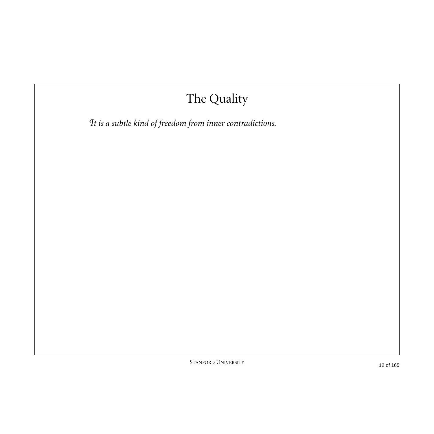*It is a subtle kind of freedom from inner contradictions.*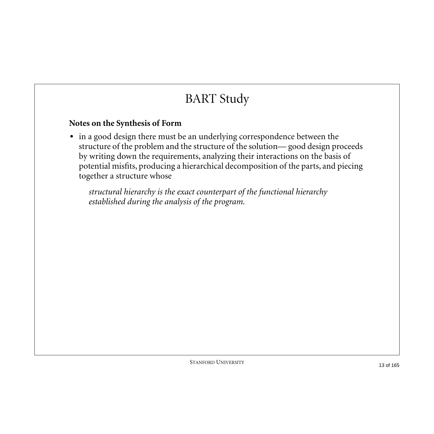# BART Study

#### **Notes on the Synthesis of Form**

**•** in a good design there must be an underlying correspondence between the structure of the problem and the structure of the solution— good design proceeds by writing down the requirements, analyzing their interactions on the basis of potential misfits, producing a hierarchical decomposition of the parts, and piecing together a structure whose

*structural hierarchy is the exact counterpart of the functional hierarchy established during the analysis of the program.*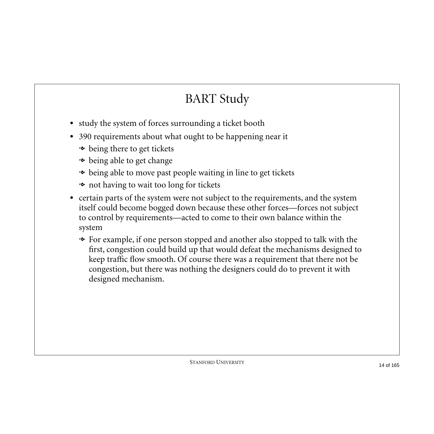# BART Study

- **•** study the system of forces surrounding a ticket booth
- **•** 390 requirements about what ought to be happening near it
	- being there to get tickets
	- $\bullet\,$  being able to get change
	- being able to move past people waiting in line to get tickets
	- not having to wait too long for tickets
- **•** certain parts of the system were not subject to the requirements, and the system itself could become bogged down because these other forces—forces not subject to control by requirements—acted to come to their own balance within the system
	- For example, if one person stopped and another also stopped to talk with the first, congestion could build up that would defeat the mechanisms designed to keep traffic flow smooth. Of course there was a requirement that there not be congestion, but there was nothing the designers could do to prevent it with designed mechanism.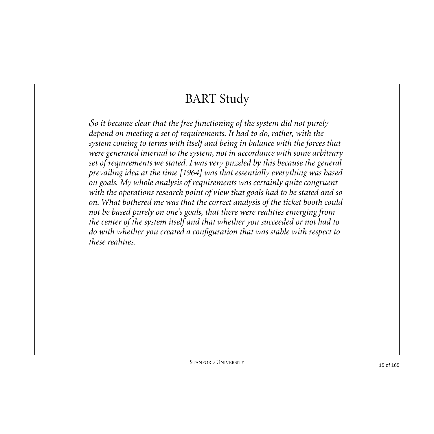# BART Study

*So it became clear that the free functioning of the system did not purely depend on meeting a set of requirements. It had to do, rather, with the system coming to terms with itself and being in balance with the forces that were generated internal to the system, not in accordance with some arbitrary set of requirements we stated. I was very puzzled by this because the general prevailing idea at the time [1964] was that essentially everything was based on goals. My whole analysis of requirements was certainly quite congruent with the operations research point of view that goals had to be stated and so on. What bothered me was that the correct analysis of the ticket booth could not be based purely on one's goals, that there were realities emerging from the center of the system itself and that whether you succeeded or not had to do with whether you created a configuration that was stable with respect to these realities.*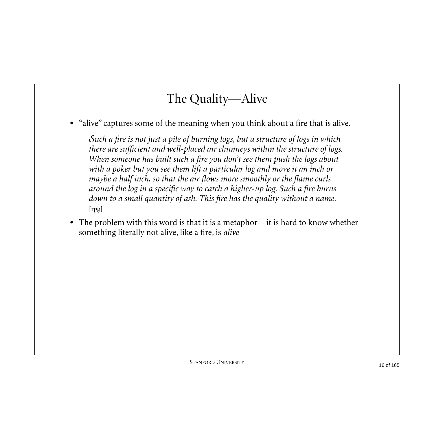# The Quality—Alive

• "alive" captures some of the meaning when you think about a fire that is alive.

*Such a fire is not just a pile of burning logs, but a structure of logs in which there are sufficient and well-placed air chimneys within the structure of logs. When someone has built such a fire you don't see them push the logs about*  with a poker but you see them lift a particular log and move it an inch or *maybe a half inch, so that the air flows more smoothly or the flame curls around the log in a specific way to catch a higher-up log. Such a fire burns down to a small quantity of ash. This fire has the quality without a name.*  [rpg]

**•** The problem with this word is that it is a metaphor—it is hard to know whether something literally not alive, like a fire, is *alive*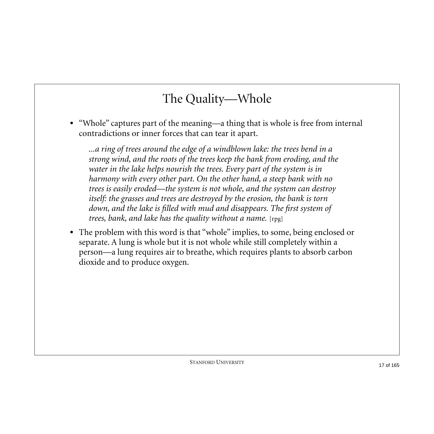#### The Quality—Whole

**•** "Whole" captures part of the meaning—a thing that is whole is free from internal contradictions or inner forces that can tear it apart.

*...a ring of trees around the edge of a windblown lake: the trees bend in a strong wind, and the roots of the trees keep the bank from eroding, and the water in the lake helps nourish the trees. Every part of the system is in harmony with every other part. On the other hand, a steep bank with no trees is easily eroded—the system is not whole, and the system can destroy itself: the grasses and trees are destroyed by the erosion, the bank is torn down, and the lake is filled with mud and disappears. The first system of trees, bank, and lake has the quality without a name.* [rpg]

• The problem with this word is that "whole" implies, to some, being enclosed or separate. A lung is whole but it is not whole while still completely within a person—a lung requires air to breathe, which requires plants to absorb carbon dioxide and to produce oxygen.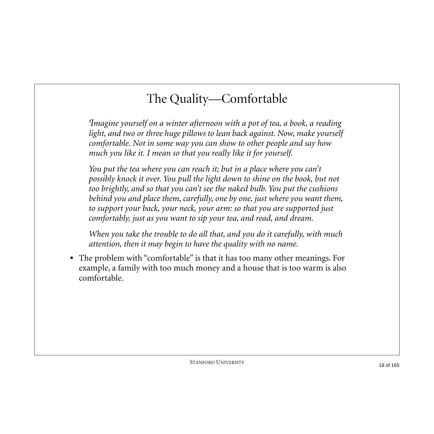# The Quality—Comfortable

*Imagine yourself on a winter afternoon with a pot of tea, a book, a reading*  light, and two or three huge pillows to lean back against. Now, make yourself *comfortable. Not in some way you can show to other people and say how much you like it. I mean so that you really like it for yourself.*

*You put the tea where you can reach it; but in a place where you can't possibly knock it over. You pull the light down to shine on the book, but not too brightly, and so that you can't see the naked bulb. You put the cushions behind you and place them, carefully, one by one, just where you want them, to support your back, your neck, your arm: so that you are supported just comfortably, just as you want to sip your tea, and read, and dream.*

*When you take the trouble to do all that, and you do it carefully, with much attention, then it may begin to have the quality with no name.*

**•** The problem with "comfortable" is that it has too many other meanings. For example, a family with too much money and a house that is too warm is also comfortable.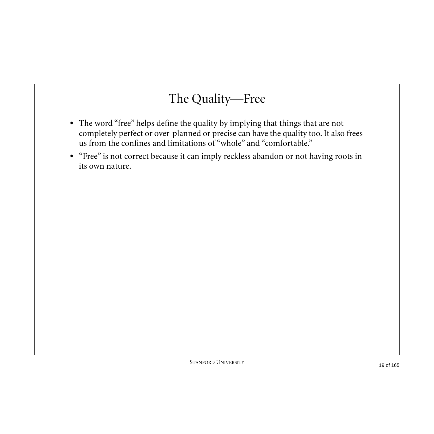## The Quality—Free

- **•** The word "free" helps define the quality by implying that things that are not completely perfect or over-planned or precise can have the quality too. It also frees us from the confines and limitations of "whole" and "comfortable."
- **•** "Free" is not correct because it can imply reckless abandon or not having roots in its own nature.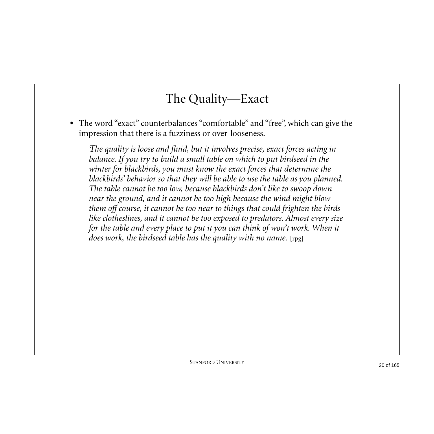#### The Quality—Exact

**•** The word "exact" counterbalances "comfortable" and "free", which can give the impression that there is a fuzziness or over-looseness.

*The quality is loose and fluid, but it involves precise, exact forces acting in balance. If you try to build a small table on which to put birdseed in the winter for blackbirds, you must know the exact forces that determine the blackbirds' behavior so that they will be able to use the table as you planned. The table cannot be too low, because blackbirds don't like to swoop down near the ground, and it cannot be too high because the wind might blow them off course, it cannot be too near to things that could frighten the birds like clotheslines, and it cannot be too exposed to predators. Almost every size for the table and every place to put it you can think of won't work. When it does work, the birdseed table has the quality with no name.* [rpg]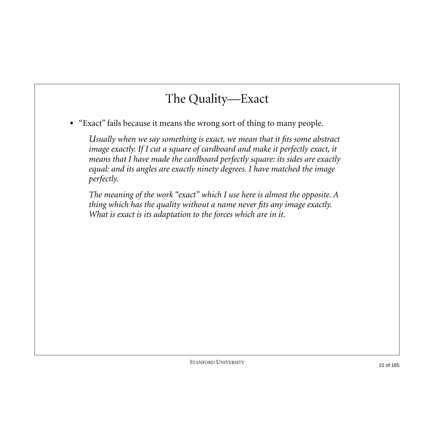#### The Quality—Exact

**•** "Exact" fails because it means the wrong sort of thing to many people.

*Usually when we say something is exact, we mean that it fits some abstract image exactly. If I cut a square of cardboard and make it perfectly exact, it means that I have made the cardboard perfectly square: its sides are exactly equal: and its angles are exactly ninety degrees. I have matched the image perfectly.*

*The meaning of the work "exact" which I use here is almost the opposite. A thing which has the quality without a name never fits any image exactly. What is exact is its adaptation to the forces which are in it.*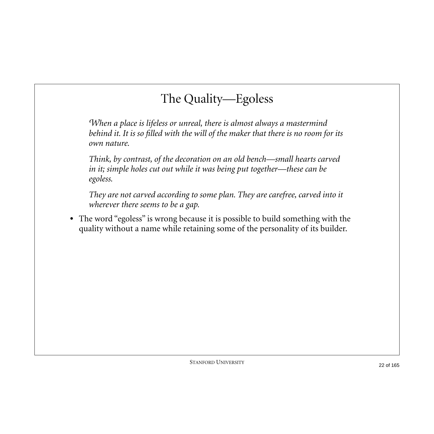# The Quality—Egoless

*When a place is lifeless or unreal, there is almost always a mastermind behind it. It is so filled with the will of the maker that there is no room for its own nature.*

*Think, by contrast, of the decoration on an old bench—small hearts carved in it; simple holes cut out while it was being put together—these can be egoless.*

*They are not carved according to some plan. They are carefree, carved into it wherever there seems to be a gap.* 

**•** The word "egoless" is wrong because it is possible to build something with the quality without a name while retaining some of the personality of its builder.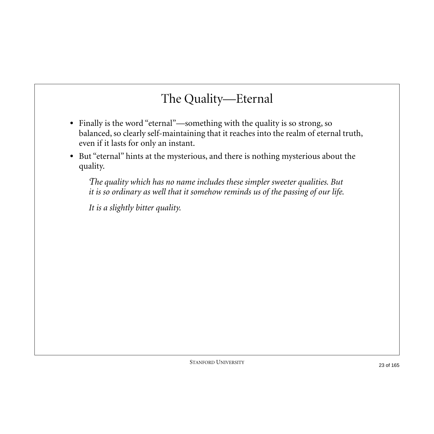#### The Quality—Eternal

- **•** Finally is the word "eternal"—something with the quality is so strong, so balanced, so clearly self-maintaining that it reaches into the realm of eternal truth, even if it lasts for only an instant.
- **•** But "eternal" hints at the mysterious, and there is nothing mysterious about the quality.

*The quality which has no name includes these simpler sweeter qualities. But it is so ordinary as well that it somehow reminds us of the passing of our life.*

*It is a slightly bitter quality.*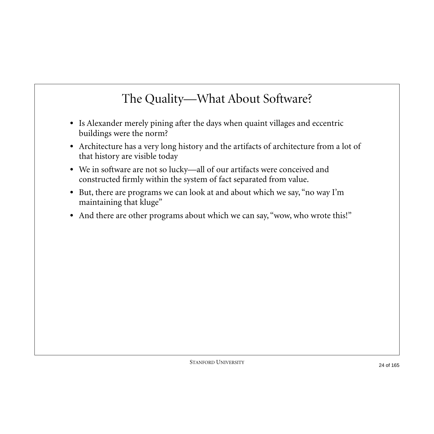### The Quality—What About Software?

- **•** Is Alexander merely pining after the days when quaint villages and eccentric buildings were the norm?
- **•** Architecture has a very long history and the artifacts of architecture from a lot of that history are visible today
- **•** We in software are not so lucky—all of our artifacts were conceived and constructed firmly within the system of fact separated from value.
- **•** But, there are programs we can look at and about which we say, "no way I'm maintaining that kluge"
- And there are other programs about which we can say, "wow, who wrote this!"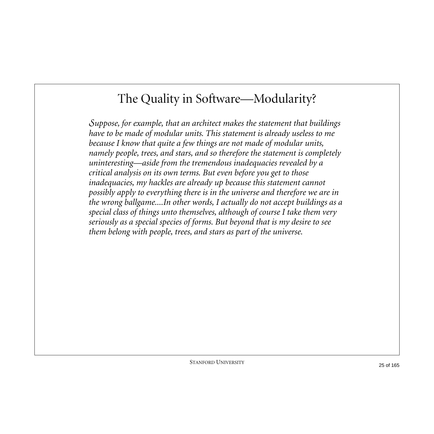#### The Quality in Software—Modularity?

*Suppose, for example, that an architect makes the statement that buildings have to be made of modular units. This statement is already useless to me because I know that quite a few things are not made of modular units, namely people, trees, and stars, and so therefore the statement is completely uninteresting—aside from the tremendous inadequacies revealed by a critical analysis on its own terms. But even before you get to those inadequacies, my hackles are already up because this statement cannot possibly apply to everything there is in the universe and therefore we are in the wrong ballgame....In other words, I actually do not accept buildings as a special class of things unto themselves, although of course I take them very seriously as a special species of forms. But beyond that is my desire to see them belong with people, trees, and stars as part of the universe.*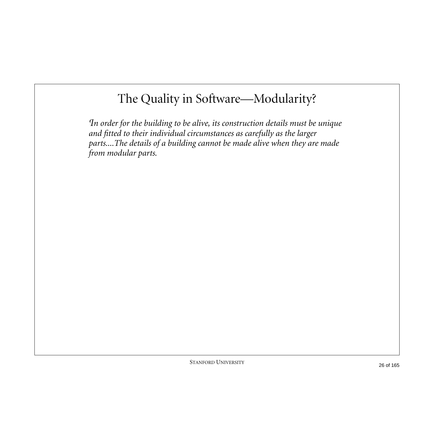### The Quality in Software—Modularity?

*In order for the building to be alive, its construction details must be unique and fitted to their individual circumstances as carefully as the larger parts....The details of a building cannot be made alive when they are made from modular parts.*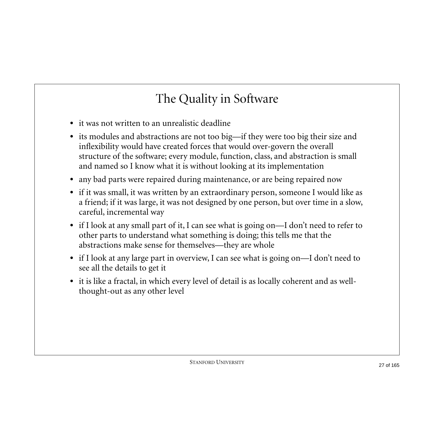# The Quality in Software

- **•** it was not written to an unrealistic deadline
- **•** its modules and abstractions are not too big—if they were too big their size and inflexibility would have created forces that would over-govern the overall structure of the software; every module, function, class, and abstraction is small and named so I know what it is without looking at its implementation
- **•** any bad parts were repaired during maintenance, or are being repaired now
- **•** if it was small, it was written by an extraordinary person, someone I would like as a friend; if it was large, it was not designed by one person, but over time in a slow, careful, incremental way
- **•** if I look at any small part of it, I can see what is going on—I don't need to refer to other parts to understand what something is doing; this tells me that the abstractions make sense for themselves—they are whole
- if I look at any large part in overview, I can see what is going on—I don't need to see all the details to get it
- **•** it is like a fractal, in which every level of detail is as locally coherent and as wellthought-out as any other level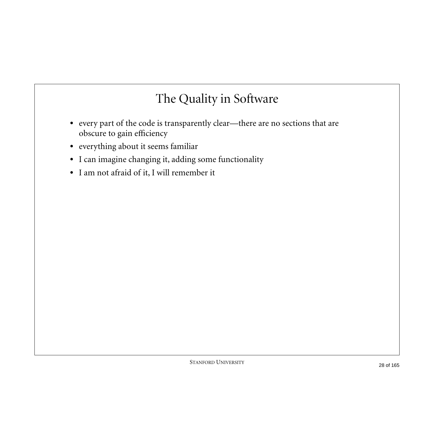# The Quality in Software

- **•** every part of the code is transparently clear—there are no sections that are obscure to gain efficiency
- **•** everything about it seems familiar
- **•** I can imagine changing it, adding some functionality
- **•** I am not afraid of it, I will remember it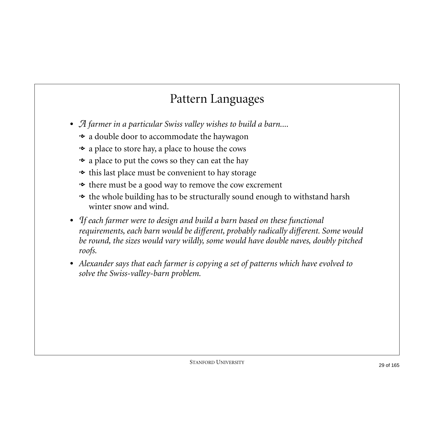# Pattern Languages

- **•** *A farmer in a particular Swiss valley wishes to build a barn....*
	- a double door to accommodate the haywagon
	- a place to store hay, a place to house the cows
	- $\bullet\,$  a place to put the cows so they can eat the hay
	- this last place must be convenient to hay storage
	- there must be a good way to remove the cow excrement
	- the whole building has to be structurally sound enough to withstand harsh winter snow and wind.
- **•** *If each farmer were to design and build a barn based on these functional requirements, each barn would be different, probably radically different. Some would be round, the sizes would vary wildly, some would have double naves, doubly pitched roofs.*
- **•** *Alexander says that each farmer is copying a set of patterns which have evolved to solve the Swiss-valley-barn problem.*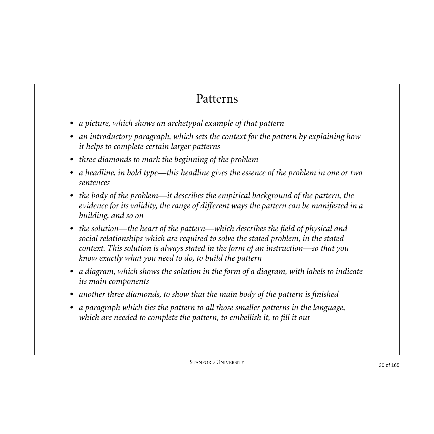#### Patterns

- **•** *a picture, which shows an archetypal example of that pattern*
- **•** *an introductory paragraph, which sets the context for the pattern by explaining how it helps to complete certain larger patterns*
- **•** *three diamonds to mark the beginning of the problem*
- **•** *a headline, in bold type—this headline gives the essence of the problem in one or two sentences*
- **•** *the body of the problem—it describes the empirical background of the pattern, the evidence for its validity, the range of different ways the pattern can be manifested in a building, and so on*
- **•** *the solution—the heart of the pattern—which describes the field of physical and social relationships which are required to solve the stated problem, in the stated context. This solution is always stated in the form of an instruction—so that you know exactly what you need to do, to build the pattern*
- **•** *a diagram, which shows the solution in the form of a diagram, with labels to indicate its main components*
- **•** *another three diamonds, to show that the main body of the pattern is finished*
- **•** *a paragraph which ties the pattern to all those smaller patterns in the language, which are needed to complete the pattern, to embellish it, to fill it out*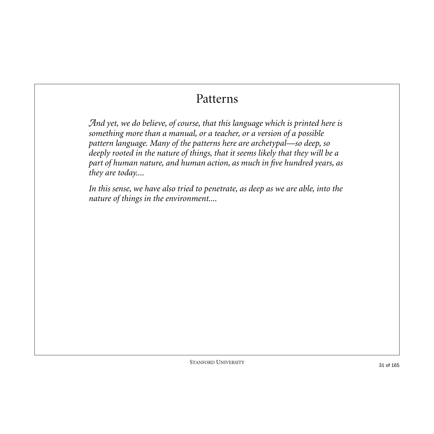#### Patterns

*And yet, we do believe, of course, that this language which is printed here is something more than a manual, or a teacher, or a version of a possible pattern language. Many of the patterns here are archetypal—so deep, so deeply rooted in the nature of things, that it seems likely that they will be a part of human nature, and human action, as much in five hundred years, as they are today....*

*In this sense, we have also tried to penetrate, as deep as we are able, into the nature of things in the environment....*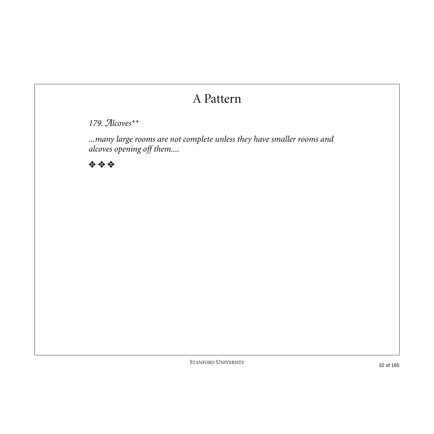#### A Pattern

*179. Alcoves\*\**

*...many large rooms are not complete unless they have smaller rooms and alcoves opening off them....*

✥ ✥ ✥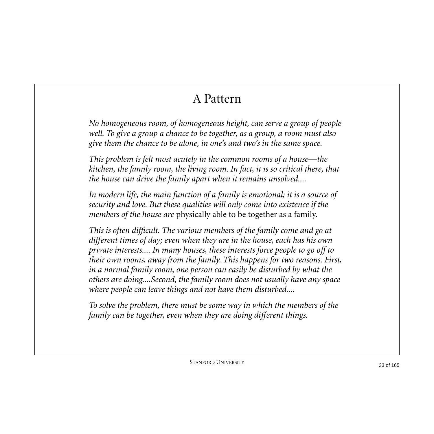# A Pattern

*No homogeneous room, of homogeneous height, can serve a group of people well. To give a group a chance to be together, as a group, a room must also give them the chance to be alone, in one's and two's in the same space.*

*This problem is felt most acutely in the common rooms of a house—the kitchen, the family room, the living room. In fact, it is so critical there, that the house can drive the family apart when it remains unsolved....*

In modern life, the main function of a family is emotional; it is a source of *security and love. But these qualities will only come into existence if the members of the house are* physically able to be together as a family*.*

*This is often difficult. The various members of the family come and go at different times of day; even when they are in the house, each has his own private interests.... In many houses, these interests force people to go off to their own rooms, away from the family. This happens for two reasons. First, in a normal family room, one person can easily be disturbed by what the others are doing....Second, the family room does not usually have any space where people can leave things and not have them disturbed....*

*To solve the problem, there must be some way in which the members of the family can be together, even when they are doing different things.*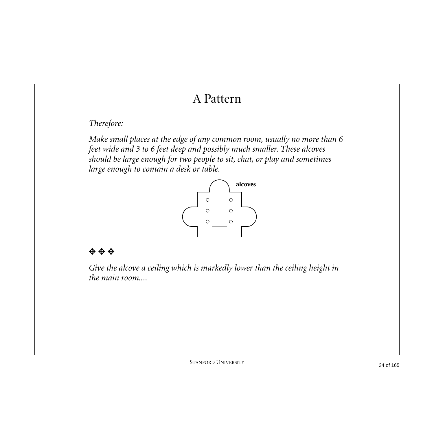# A Pattern

#### *Therefore:*

*Make small places at the edge of any common room, usually no more than 6 feet wide and 3 to 6 feet deep and possibly much smaller. These alcoves should be large enough for two people to sit, chat, or play and sometimes large enough to contain a desk or table.*



#### ✥ ✥ ✥

*Give the alcove a ceiling which is markedly lower than the ceiling height in the main room....*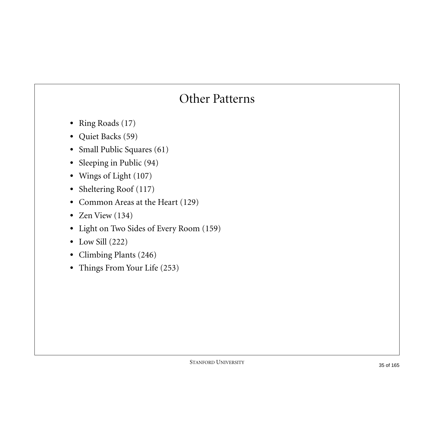#### Other Patterns

- **•** Ring Roads (17)
- **•** Quiet Backs (59)
- **•** Small Public Squares (61)
- **•** Sleeping in Public (94)
- **•** Wings of Light (107)
- **•** Sheltering Roof (117)
- **•** Common Areas at the Heart (129)
- **•** Zen View (134)
- **•** Light on Two Sides of Every Room (159)
- **•** Low Sill (222)
- **•** Climbing Plants (246)
- **•** Things From Your Life (253)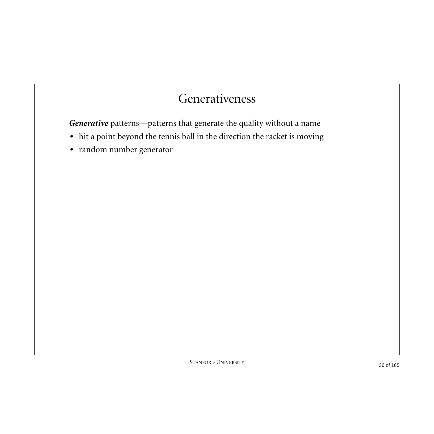#### Generativeness

*Generative* patterns—patterns that generate the quality without a name

- **•** hit a point beyond the tennis ball in the direction the racket is moving
- **•** random number generator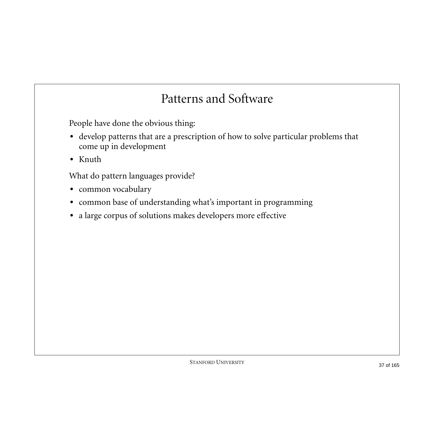#### Patterns and Software

People have done the obvious thing:

- **•** develop patterns that are a prescription of how to solve particular problems that come up in development
- **•** Knuth

What do pattern languages provide?

- **•** common vocabulary
- **•** common base of understanding what's important in programming
- **•** a large corpus of solutions makes developers more effective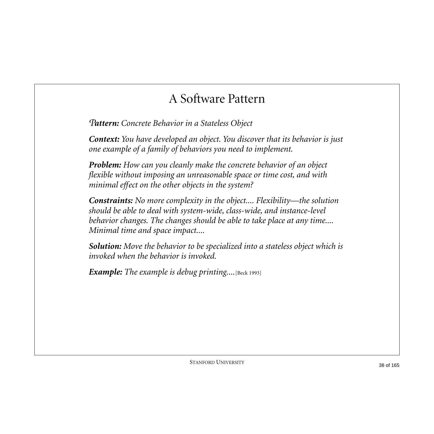### A Software Pattern

*Pattern: Concrete Behavior in a Stateless Object*

*Context: You have developed an object. You discover that its behavior is just one example of a family of behaviors you need to implement.*

*Problem: How can you cleanly make the concrete behavior of an object flexible without imposing an unreasonable space or time cost, and with minimal effect on the other objects in the system?*

*Constraints: No more complexity in the object.... Flexibility—the solution should be able to deal with system-wide, class-wide, and instance-level behavior changes. The changes should be able to take place at any time.... Minimal time and space impact....*

*Solution: Move the behavior to be specialized into a stateless object which is invoked when the behavior is invoked.*

*Example: The example is debug printing....*[Beck 1993]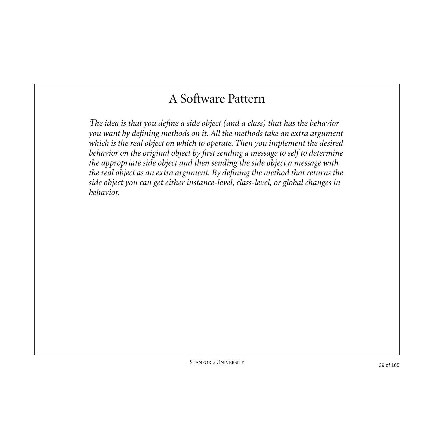## A Software Pattern

*The idea is that you define a side object (and a class) that has the behavior you want by defining methods on it. All the methods take an extra argument which is the real object on which to operate. Then you implement the desired behavior on the original object by first sending a message to self to determine the appropriate side object and then sending the side object a message with the real object as an extra argument. By defining the method that returns the side object you can get either instance-level, class-level, or global changes in behavior.*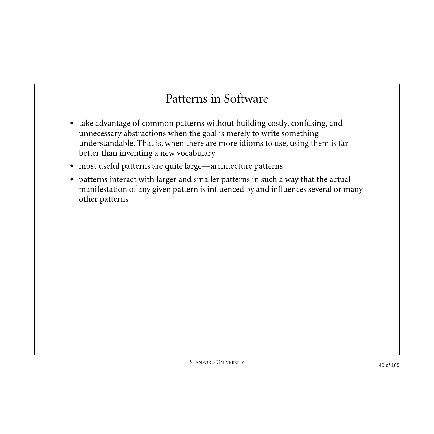### Patterns in Software

- **•** take advantage of common patterns without building costly, confusing, and unnecessary abstractions when the goal is merely to write something understandable. That is, when there are more idioms to use, using them is far better than inventing a new vocabulary
- **•** most useful patterns are quite large—architecture patterns
- **•** patterns interact with larger and smaller patterns in such a way that the actual manifestation of any given pattern is influenced by and influences several or many other patterns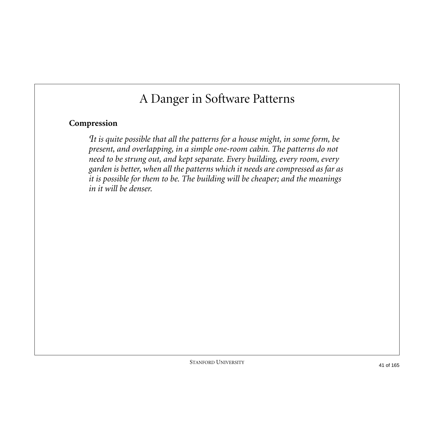# A Danger in Software Patterns

#### **Compression**

*It is quite possible that all the patterns for a house might, in some form, be present, and overlapping, in a simple one-room cabin. The patterns do not need to be strung out, and kept separate. Every building, every room, every garden is better, when all the patterns which it needs are compressed as far as it is possible for them to be. The building will be cheaper; and the meanings in it will be denser.*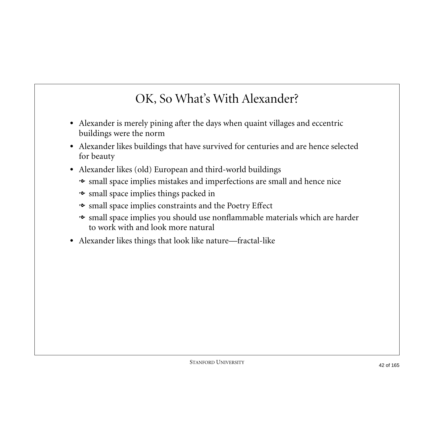# OK, So What's With Alexander?

- **•** Alexander is merely pining after the days when quaint villages and eccentric buildings were the norm
- **•** Alexander likes buildings that have survived for centuries and are hence selected for beauty
- **•** Alexander likes (old) European and third-world buildings
	- small space implies mistakes and imperfections are small and hence nice
	- small space implies things packed in
	- small space implies constraints and the Poetry Effect
	- small space implies you should use nonflammable materials which are harder to work with and look more natural
- **•** Alexander likes things that look like nature—fractal-like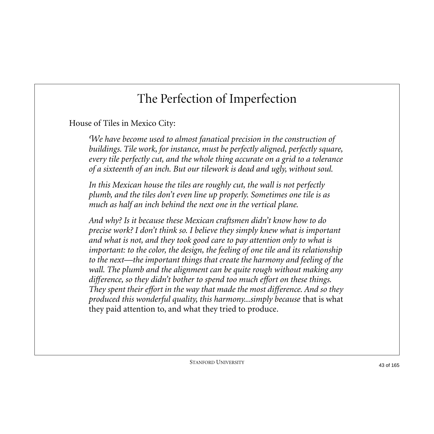# The Perfection of Imperfection

House of Tiles in Mexico City:

*We have become used to almost fanatical precision in the construction of buildings. Tile work, for instance, must be perfectly aligned, perfectly square, every tile perfectly cut, and the whole thing accurate on a grid to a tolerance of a sixteenth of an inch. But our tilework is dead and ugly, without soul.*

*In this Mexican house the tiles are roughly cut, the wall is not perfectly plumb, and the tiles don't even line up properly. Sometimes one tile is as much as half an inch behind the next one in the vertical plane.*

*And why? Is it because these Mexican craftsmen didn't know how to do precise work? I don't think so. I believe they simply knew what is important and what is not, and they took good care to pay attention only to what is important: to the color, the design, the feeling of one tile and its relationship to the next—the important things that create the harmony and feeling of the wall. The plumb and the alignment can be quite rough without making any difference, so they didn't bother to spend too much effort on these things. They spent their effort in the way that made the most difference. And so they produced this wonderful quality, this harmony...simply because* that is what they paid attention to, and what they tried to produce*.*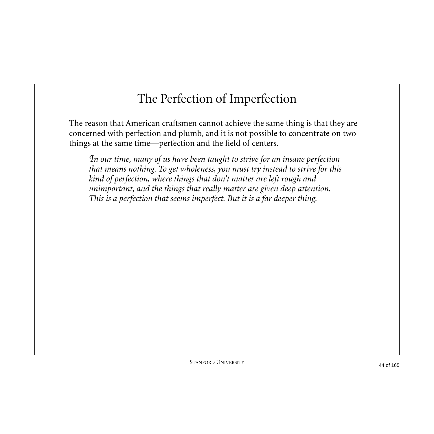# The Perfection of Imperfection

The reason that American craftsmen cannot achieve the same thing is that they are concerned with perfection and plumb, and it is not possible to concentrate on two things at the same time—perfection and the field of centers.

*In our time, many of us have been taught to strive for an insane perfection that means nothing. To get wholeness, you must try instead to strive for this kind of perfection, where things that don't matter are left rough and unimportant, and the things that really matter are given deep attention. This is a perfection that seems imperfect. But it is a far deeper thing.*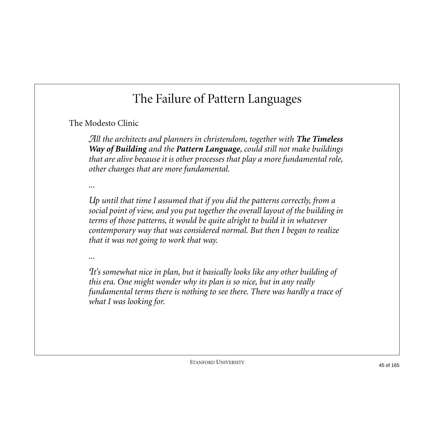The Modesto Clinic

*All the architects and planners in christendom, together with The Timeless Way of Building and the Pattern Language, could still not make buildings that are alive because it is other processes that play a more fundamental role, other changes that are more fundamental.* 

*...*

*Up until that time I assumed that if you did the patterns correctly, from a social point of view, and you put together the overall layout of the building in terms of those patterns, it would be quite alright to build it in whatever contemporary way that was considered normal. But then I began to realize that it was not going to work that way.* 

*...*

*It's somewhat nice in plan, but it basically looks like any other building of this era. One might wonder why its plan is so nice, but in any really fundamental terms there is nothing to see there. There was hardly a trace of what I was looking for.*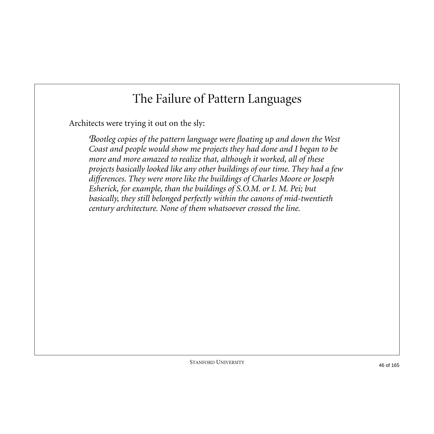Architects were trying it out on the sly:

*Bootleg copies of the pattern language were floating up and down the West Coast and people would show me projects they had done and I began to be more and more amazed to realize that, although it worked, all of these projects basically looked like any other buildings of our time. They had a few differences. They were more like the buildings of Charles Moore or Joseph Esherick, for example, than the buildings of S.O.M. or I. M. Pei; but basically, they still belonged perfectly within the canons of mid-twentieth century architecture. None of them whatsoever crossed the line.*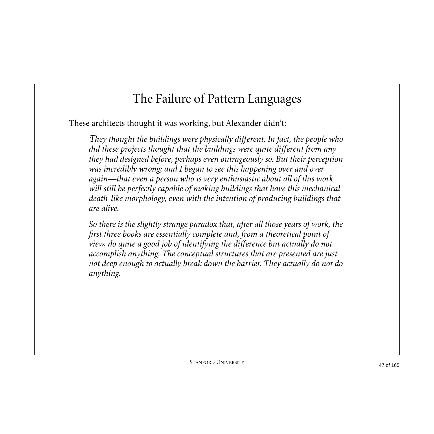These architects thought it was working, but Alexander didn't:

*They thought the buildings were physically different. In fact, the people who did these projects thought that the buildings were quite different from any they had designed before, perhaps even outrageously so. But their perception was incredibly wrong; and I began to see this happening over and over again—that even a person who is very enthusiastic about all of this work will still be perfectly capable of making buildings that have this mechanical death-like morphology, even with the intention of producing buildings that are alive.*

*So there is the slightly strange paradox that, after all those years of work, the first three books are essentially complete and, from a theoretical point of view, do quite a good job of identifying the difference but actually do not accomplish anything. The conceptual structures that are presented are just not deep enough to actually break down the barrier. They actually do not do anything.*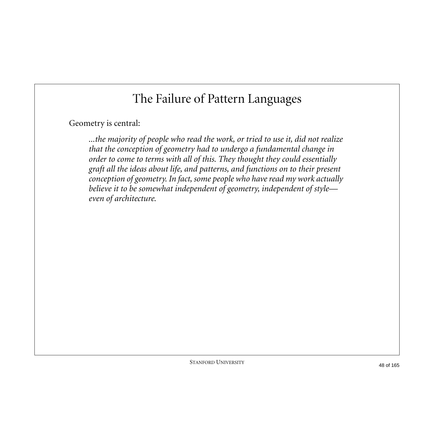#### Geometry is central:

*...the majority of people who read the work, or tried to use it, did not realize that the conception of geometry had to undergo a fundamental change in order to come to terms with all of this. They thought they could essentially graft all the ideas about life, and patterns, and functions on to their present conception of geometry. In fact, some people who have read my work actually believe it to be somewhat independent of geometry, independent of style even of architecture.*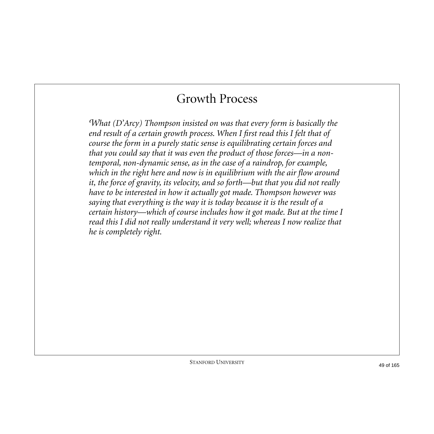## Growth Process

*What (D'Arcy) Thompson insisted on was that every form is basically the end result of a certain growth process. When I first read this I felt that of course the form in a purely static sense is equilibrating certain forces and that you could say that it was even the product of those forces—in a nontemporal, non-dynamic sense, as in the case of a raindrop, for example, which in the right here and now is in equilibrium with the air flow around it, the force of gravity, its velocity, and so forth—but that you did not really have to be interested in how it actually got made. Thompson however was saying that everything is the way it is today because it is the result of a certain history—which of course includes how it got made. But at the time I read this I did not really understand it very well; whereas I now realize that he is completely right.*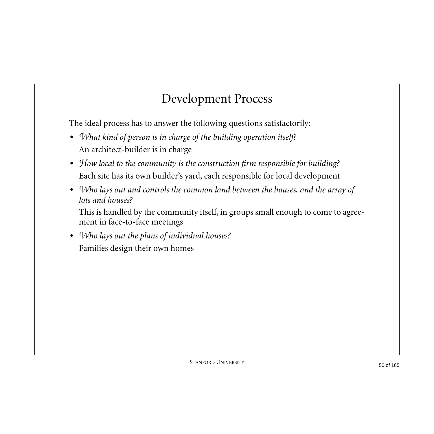## Development Process

The ideal process has to answer the following questions satisfactorily:

- **•** *What kind of person is in charge of the building operation itself?* An architect-builder is in charge
- **•** *How local to the community is the construction firm responsible for building?* Each site has its own builder's yard, each responsible for local development
- **•** *Who lays out and controls the common land between the houses, and the array of lots and houses?*

This is handled by the community itself, in groups small enough to come to agreement in face-to-face meetings

**•** *Who lays out the plans of individual houses?* Families design their own homes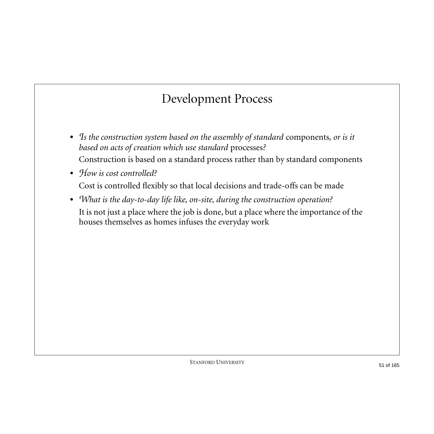## Development Process

- **•** *Is the construction system based on the assembly of standard* components*, or is it based on acts of creation which use standard* processes*?* Construction is based on a standard process rather than by standard components
- How is cost controlled? Cost is controlled flexibly so that local decisions and trade-offs can be made
- **•** *What is the day-to-day life like, on-site, during the construction operation?* It is not just a place where the job is done, but a place where the importance of the houses themselves as homes infuses the everyday work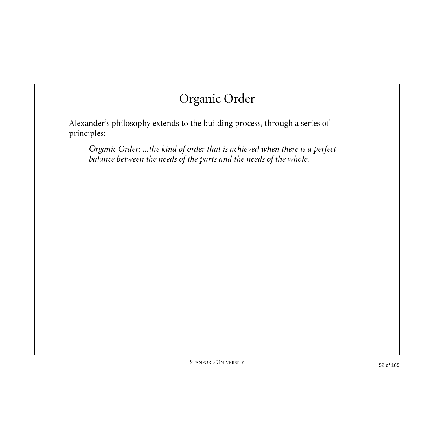# Organic Order

Alexander's philosophy extends to the building process, through a series of principles:

*Organic Order: ...the kind of order that is achieved when there is a perfect balance between the needs of the parts and the needs of the whole.*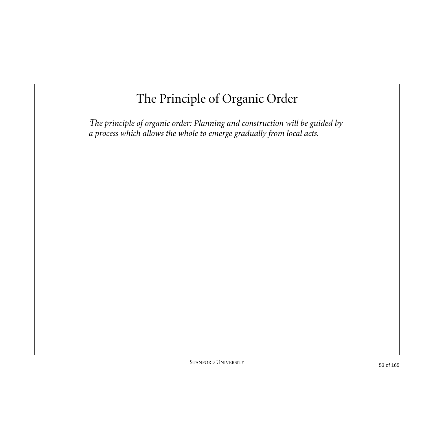# The Principle of Organic Order

*The principle of organic order: Planning and construction will be guided by a process which allows the whole to emerge gradually from local acts.*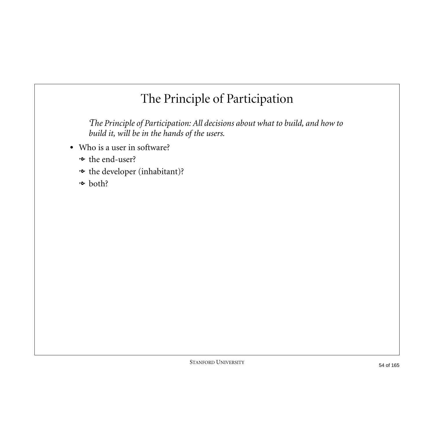# The Principle of Participation

*The Principle of Participation: All decisions about what to build, and how to build it, will be in the hands of the users.*

- **•** Who is a user in software?
	- **→** the end-user?
	- the developer (inhabitant)?
	- $\sim$  both?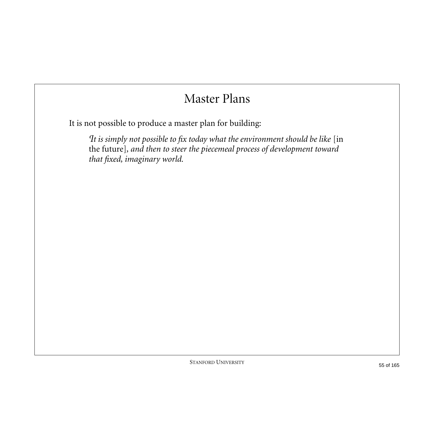## Master Plans

It is not possible to produce a master plan for building:

*It is simply not possible to fix today what the environment should be like* [in the future]*, and then to steer the piecemeal process of development toward that fixed, imaginary world.*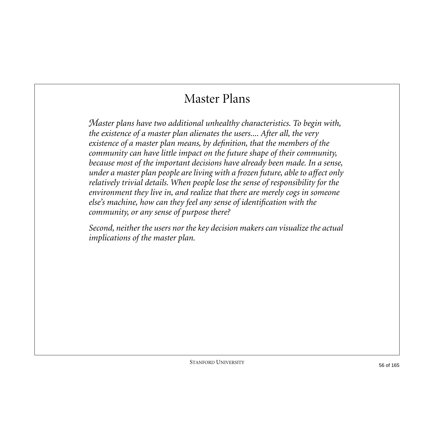#### Master Plans

*Master plans have two additional unhealthy characteristics. To begin with, the existence of a master plan alienates the users.... After all, the very existence of a master plan means, by definition, that the members of the community can have little impact on the future shape of their community, because most of the important decisions have already been made. In a sense, under a master plan people are living with a frozen future, able to affect only relatively trivial details. When people lose the sense of responsibility for the environment they live in, and realize that there are merely cogs in someone else's machine, how can they feel any sense of identification with the community, or any sense of purpose there?* 

*Second, neither the users nor the key decision makers can visualize the actual implications of the master plan.*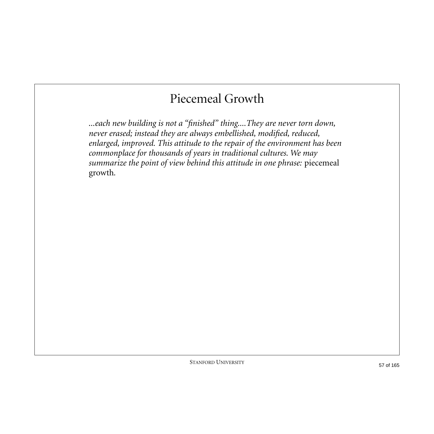## Piecemeal Growth

*...each new building is not a "finished" thing....They are never torn down, never erased; instead they are always embellished, modified, reduced, enlarged, improved. This attitude to the repair of the environment has been commonplace for thousands of years in traditional cultures. We may summarize the point of view behind this attitude in one phrase:* piecemeal growth*.*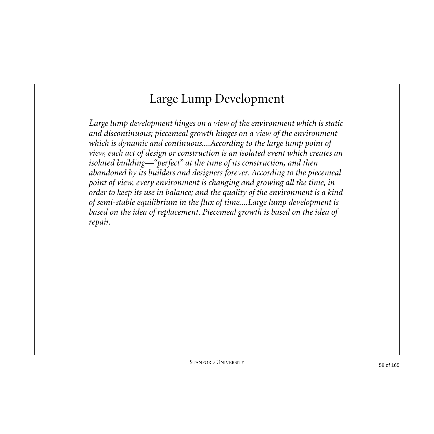# Large Lump Development

*Large lump development hinges on a view of the environment which is static and discontinuous; piecemeal growth hinges on a view of the environment which is dynamic and continuous....According to the large lump point of view, each act of design or construction is an isolated event which creates an isolated building—"perfect" at the time of its construction, and then abandoned by its builders and designers forever. According to the piecemeal point of view, every environment is changing and growing all the time, in order to keep its use in balance; and the quality of the environment is a kind of semi-stable equilibrium in the flux of time....Large lump development is based on the idea of replacement. Piecemeal growth is based on the idea of repair.*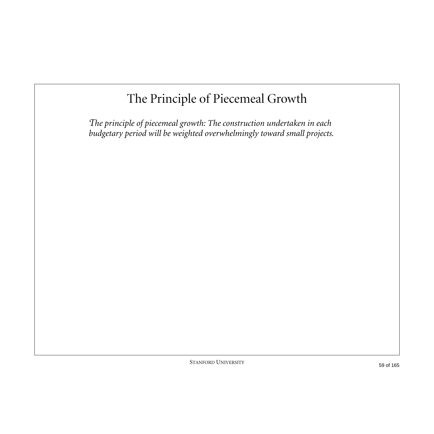# The Principle of Piecemeal Growth

*The principle of piecemeal growth: The construction undertaken in each budgetary period will be weighted overwhelmingly toward small projects.*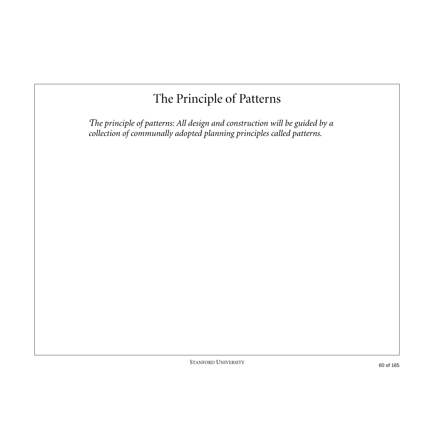# The Principle of Patterns

*The principle of patterns: All design and construction will be guided by a collection of communally adopted planning principles called patterns.*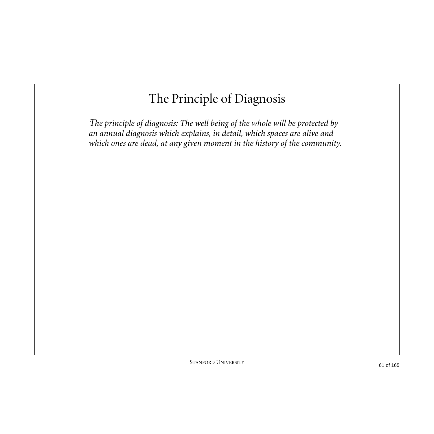# The Principle of Diagnosis

*The principle of diagnosis: The well being of the whole will be protected by an annual diagnosis which explains, in detail, which spaces are alive and which ones are dead, at any given moment in the history of the community.*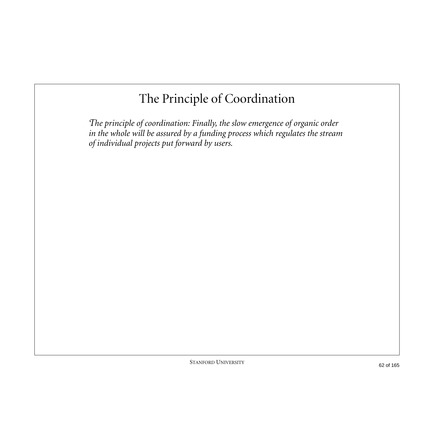# The Principle of Coordination

*The principle of coordination: Finally, the slow emergence of organic order in the whole will be assured by a funding process which regulates the stream of individual projects put forward by users.*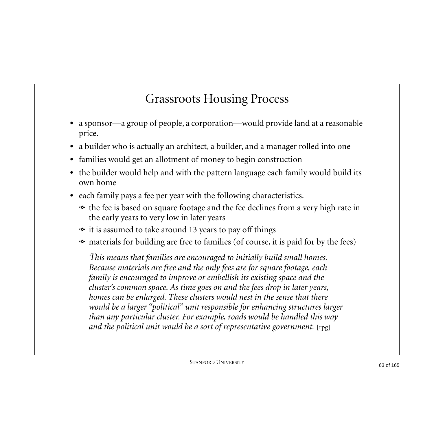# Grassroots Housing Process

- **•** a sponsor—a group of people, a corporation—would provide land at a reasonable price.
- **•** a builder who is actually an architect, a builder, and a manager rolled into one
- **•** families would get an allotment of money to begin construction
- **•** the builder would help and with the pattern language each family would build its own home
- **•** each family pays a fee per year with the following characteristics.
	- the fee is based on square footage and the fee declines from a very high rate in the early years to very low in later years
	- $\bullet\,$  it is assumed to take around 13 years to pay off things
	- materials for building are free to families (of course, it is paid for by the fees)

*This means that families are encouraged to initially build small homes. Because materials are free and the only fees are for square footage, each family is encouraged to improve or embellish its existing space and the cluster's common space. As time goes on and the fees drop in later years, homes can be enlarged. These clusters would nest in the sense that there would be a larger "political" unit responsible for enhancing structures larger than any particular cluster. For example, roads would be handled this way and the political unit would be a sort of representative government.* [rpg]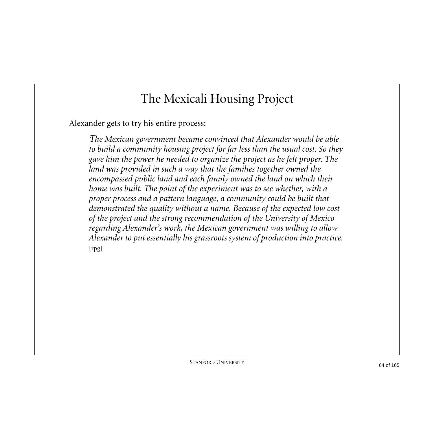## The Mexicali Housing Project

Alexander gets to try his entire process:

*The Mexican government became convinced that Alexander would be able to build a community housing project for far less than the usual cost. So they gave him the power he needed to organize the project as he felt proper. The land was provided in such a way that the families together owned the encompassed public land and each family owned the land on which their home was built. The point of the experiment was to see whether, with a proper process and a pattern language, a community could be built that demonstrated the quality without a name. Because of the expected low cost of the project and the strong recommendation of the University of Mexico regarding Alexander's work, the Mexican government was willing to allow Alexander to put essentially his grassroots system of production into practice.*  [rpg]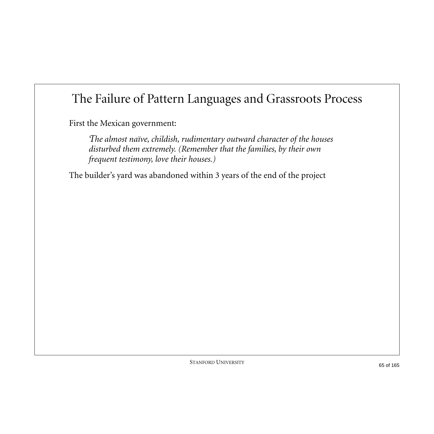# The Failure of Pattern Languages and Grassroots Process

First the Mexican government:

*The almost naïve, childish, rudimentary outward character of the houses disturbed them extremely. (Remember that the families, by their own frequent testimony, love their houses.)* 

The builder's yard was abandoned within 3 years of the end of the project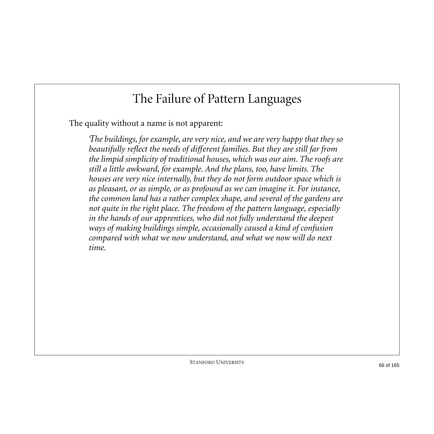The quality without a name is not apparent:

*The buildings, for example, are very nice, and we are very happy that they so beautifully reflect the needs of different families. But they are still far from the limpid simplicity of traditional houses, which was our aim. The roofs are still a little awkward, for example. And the plans, too, have limits. The houses are very nice internally, but they do not form outdoor space which is as pleasant, or as simple, or as profound as we can imagine it. For instance, the common land has a rather complex shape, and several of the gardens are not quite in the right place. The freedom of the pattern language, especially in the hands of our apprentices, who did not fully understand the deepest ways of making buildings simple, occasionally caused a kind of confusion compared with what we now understand, and what we now will do next time.*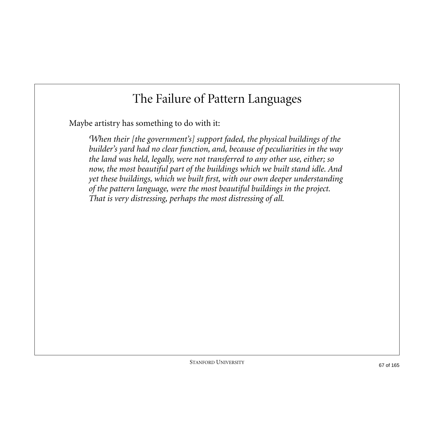Maybe artistry has something to do with it:

*When their [the government's] support faded, the physical buildings of the builder's yard had no clear function, and, because of peculiarities in the way the land was held, legally, were not transferred to any other use, either; so now, the most beautiful part of the buildings which we built stand idle. And yet these buildings, which we built first, with our own deeper understanding of the pattern language, were the most beautiful buildings in the project. That is very distressing, perhaps the most distressing of all.*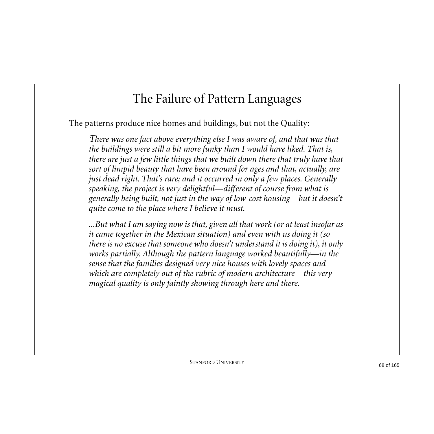The patterns produce nice homes and buildings, but not the Quality:

*There was one fact above everything else I was aware of, and that was that the buildings were still a bit more funky than I would have liked. That is, there are just a few little things that we built down there that truly have that sort of limpid beauty that have been around for ages and that, actually, are just dead right. That's rare; and it occurred in only a few places. Generally speaking, the project is very delightful—different of course from what is generally being built, not just in the way of low-cost housing—but it doesn't quite come to the place where I believe it must.*

*...But what I am saying now is that, given all that work (or at least insofar as it came together in the Mexican situation) and even with us doing it (so there is no excuse that someone who doesn't understand it is doing it), it only works partially. Although the pattern language worked beautifully—in the sense that the families designed very nice houses with lovely spaces and which are completely out of the rubric of modern architecture—this very magical quality is only faintly showing through here and there.*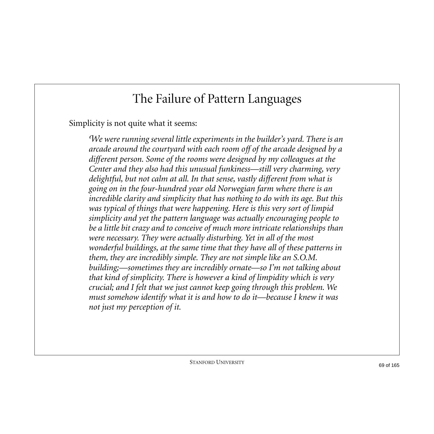Simplicity is not quite what it seems:

*We were running several little experiments in the builder's yard. There is an arcade around the courtyard with each room off of the arcade designed by a different person. Some of the rooms were designed by my colleagues at the Center and they also had this unusual funkiness—still very charming, very delightful, but not calm at all. In that sense, vastly different from what is going on in the four-hundred year old Norwegian farm where there is an incredible clarity and simplicity that has nothing to do with its age. But this was typical of things that were happening. Here is this very sort of limpid simplicity and yet the pattern language was actually encouraging people to be a little bit crazy and to conceive of much more intricate relationships than were necessary. They were actually disturbing. Yet in all of the most wonderful buildings, at the same time that they have all of these patterns in them, they are incredibly simple. They are not simple like an S.O.M. building;—sometimes they are incredibly ornate—so I'm not talking about that kind of simplicity. There is however a kind of limpidity which is very crucial; and I felt that we just cannot keep going through this problem. We must somehow identify what it is and how to do it—because I knew it was not just my perception of it.*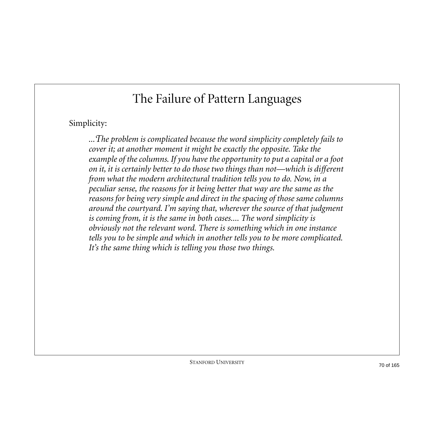Simplicity:

*...The problem is complicated because the word simplicity completely fails to cover it; at another moment it might be exactly the opposite. Take the example of the columns. If you have the opportunity to put a capital or a foot on it, it is certainly better to do those two things than not—which is different from what the modern architectural tradition tells you to do. Now, in a peculiar sense, the reasons for it being better that way are the same as the reasons for being very simple and direct in the spacing of those same columns around the courtyard. I'm saying that, wherever the source of that judgment is coming from, it is the same in both cases.... The word simplicity is obviously not the relevant word. There is something which in one instance tells you to be simple and which in another tells you to be more complicated. It's the same thing which is telling you those two things.*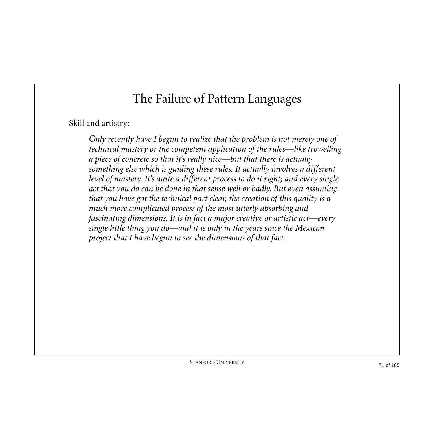#### Skill and artistry:

*Only recently have I begun to realize that the problem is not merely one of technical mastery or the competent application of the rules—like trowelling a piece of concrete so that it's really nice—but that there is actually something else which is guiding these rules. It actually involves a different level of mastery. It's quite a different process to do it right; and every single act that you do can be done in that sense well or badly. But even assuming that you have got the technical part clear, the creation of this quality is a much more complicated process of the most utterly absorbing and fascinating dimensions. It is in fact a major creative or artistic act—every single little thing you do—and it is only in the years since the Mexican project that I have begun to see the dimensions of that fact.*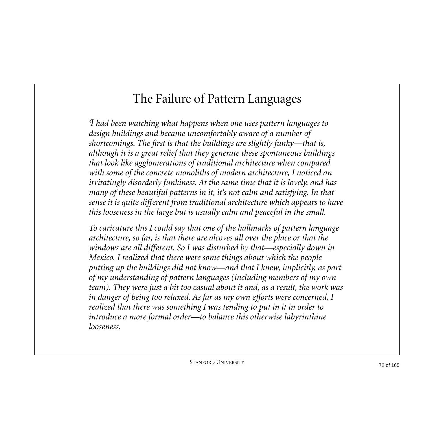*I had been watching what happens when one uses pattern languages to design buildings and became uncomfortably aware of a number of shortcomings. The first is that the buildings are slightly funky—that is, although it is a great relief that they generate these spontaneous buildings that look like agglomerations of traditional architecture when compared with some of the concrete monoliths of modern architecture, I noticed an irritatingly disorderly funkiness. At the same time that it is lovely, and has many of these beautiful patterns in it, it's not calm and satisfying. In that sense it is quite different from traditional architecture which appears to have this looseness in the large but is usually calm and peaceful in the small.*

*To caricature this I could say that one of the hallmarks of pattern language architecture, so far, is that there are alcoves all over the place or that the windows are all different. So I was disturbed by that—especially down in Mexico. I realized that there were some things about which the people putting up the buildings did not know—and that I knew, implicitly, as part of my understanding of pattern languages (including members of my own team). They were just a bit too casual about it and, as a result, the work was in danger of being too relaxed. As far as my own efforts were concerned, I realized that there was something I was tending to put in it in order to introduce a more formal order—to balance this otherwise labyrinthine looseness.*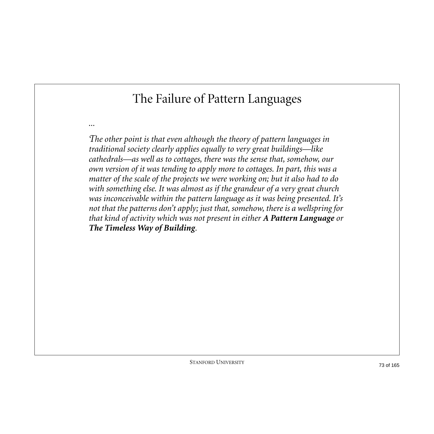### The Failure of Pattern Languages

*...*

*The other point is that even although the theory of pattern languages in traditional society clearly applies equally to very great buildings—like cathedrals—as well as to cottages, there was the sense that, somehow, our own version of it was tending to apply more to cottages. In part, this was a matter of the scale of the projects we were working on; but it also had to do with something else. It was almost as if the grandeur of a very great church was inconceivable within the pattern language as it was being presented. It's not that the patterns don't apply; just that, somehow, there is a wellspring for that kind of activity which was not present in either A Pattern Language or The Timeless Way of Building.*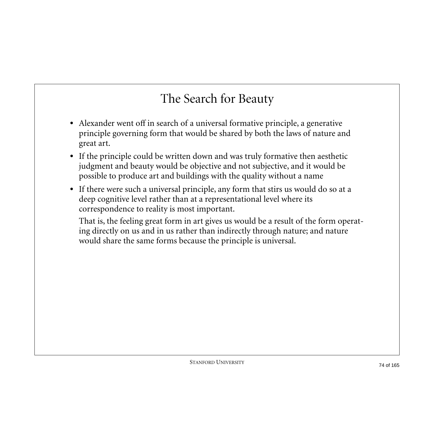## The Search for Beauty

- **•** Alexander went off in search of a universal formative principle, a generative principle governing form that would be shared by both the laws of nature and great art.
- **•** If the principle could be written down and was truly formative then aesthetic judgment and beauty would be objective and not subjective, and it would be possible to produce art and buildings with the quality without a name
- **•** If there were such a universal principle, any form that stirs us would do so at a deep cognitive level rather than at a representational level where its correspondence to reality is most important.

That is, the feeling great form in art gives us would be a result of the form operating directly on us and in us rather than indirectly through nature; and nature would share the same forms because the principle is universal.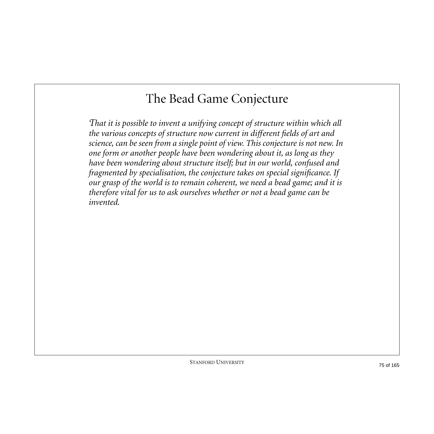## The Bead Game Conjecture

*That it is possible to invent a unifying concept of structure within which all the various concepts of structure now current in different fields of art and science, can be seen from a single point of view. This conjecture is not new. In one form or another people have been wondering about it, as long as they have been wondering about structure itself; but in our world, confused and fragmented by specialisation, the conjecture takes on special significance. If our grasp of the world is to remain coherent, we need a bead game; and it is therefore vital for us to ask ourselves whether or not a bead game can be invented.*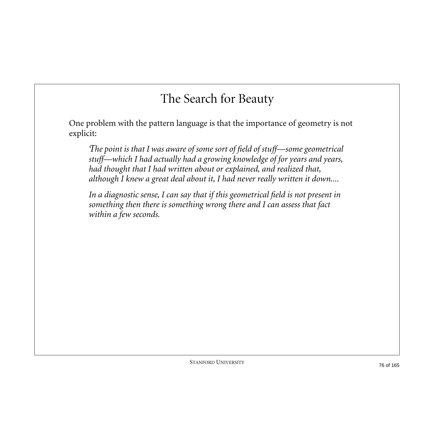### The Search for Beauty

One problem with the pattern language is that the importance of geometry is not explicit:

*The point is that I was aware of some sort of field of stuff—some geometrical stuff—which I had actually had a growing knowledge of for years and years, had thought that I had written about or explained, and realized that, although I knew a great deal about it, I had never really written it down....*

*In a diagnostic sense, I can say that if this geometrical field is not present in something then there is something wrong there and I can assess that fact within a few seconds.*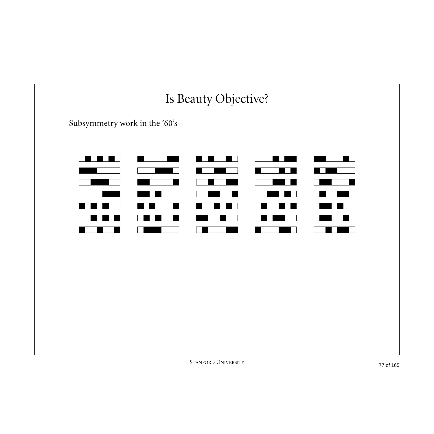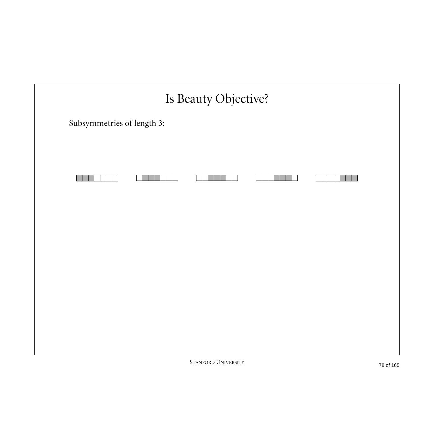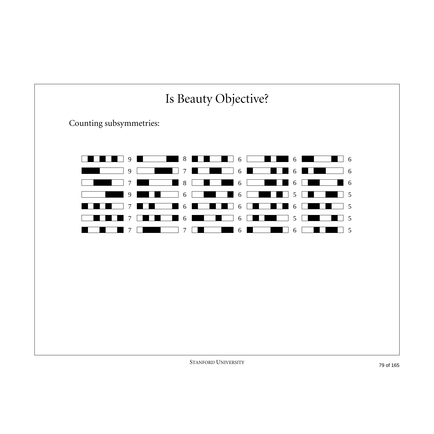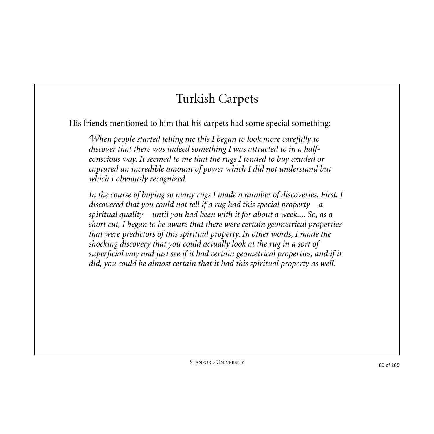## Turkish Carpets

His friends mentioned to him that his carpets had some special something:

*When people started telling me this I began to look more carefully to discover that there was indeed something I was attracted to in a halfconscious way. It seemed to me that the rugs I tended to buy exuded or captured an incredible amount of power which I did not understand but which I obviously recognized.*

In the course of buying so many rugs I made a number of discoveries. First, I *discovered that you could not tell if a rug had this special property—a spiritual quality—until you had been with it for about a week.... So, as a short cut, I began to be aware that there were certain geometrical properties that were predictors of this spiritual property. In other words, I made the shocking discovery that you could actually look at the rug in a sort of superficial way and just see if it had certain geometrical properties, and if it did, you could be almost certain that it had this spiritual property as well.*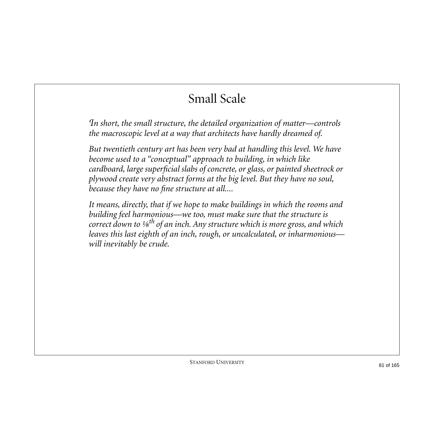## Small Scale

*In short, the small structure, the detailed organization of matter—controls the macroscopic level at a way that architects have hardly dreamed of.*

*But twentieth century art has been very bad at handling this level. We have become used to a "conceptual" approach to building, in which like cardboard, large superficial slabs of concrete, or glass, or painted sheetrock or plywood create very abstract forms at the big level. But they have no soul, because they have no fine structure at all....*

*It means, directly, that if we hope to make buildings in which the rooms and building feel harmonious—we too, must make sure that the structure is correct down to ⅛th of an inch. Any structure which is more gross, and which leaves this last eighth of an inch, rough, or uncalculated, or inharmonious will inevitably be crude.*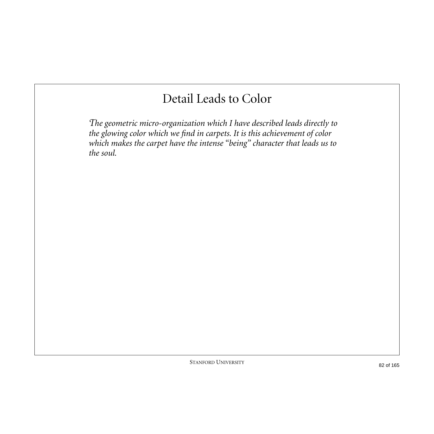### Detail Leads to Color

*The geometric micro-organization which I have described leads directly to the glowing color which we find in carpets. It is this achievement of color which makes the carpet have the intense "being" character that leads us to the soul.*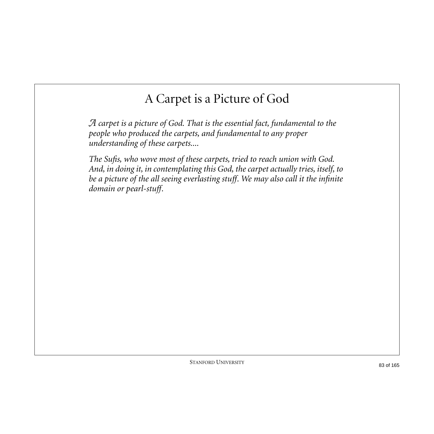## A Carpet is a Picture of God

*A carpet is a picture of God. That is the essential fact, fundamental to the people who produced the carpets, and fundamental to any proper understanding of these carpets....*

*The Sufis, who wove most of these carpets, tried to reach union with God. And, in doing it, in contemplating this God, the carpet actually tries, itself, to be a picture of the all seeing everlasting stuff. We may also call it the infinite domain or pearl-stuff.*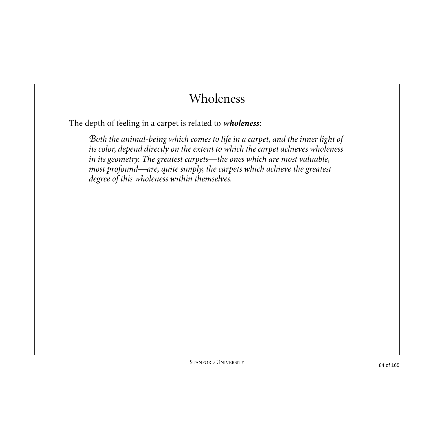## Wholeness

The depth of feeling in a carpet is related to *wholeness*:

*Both the animal-being which comes to life in a carpet, and the inner light of its color, depend directly on the extent to which the carpet achieves wholeness in its geometry. The greatest carpets—the ones which are most valuable, most profound—are, quite simply, the carpets which achieve the greatest degree of this wholeness within themselves.*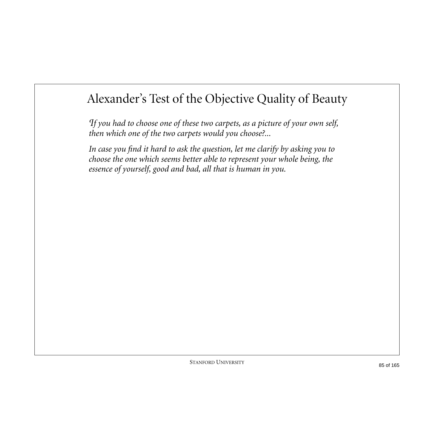## Alexander's Test of the Objective Quality of Beauty

*If you had to choose one of these two carpets, as a picture of your own self, then which one of the two carpets would you choose?...*

*In case you find it hard to ask the question, let me clarify by asking you to choose the one which seems better able to represent your whole being, the essence of yourself, good and bad, all that is human in you.*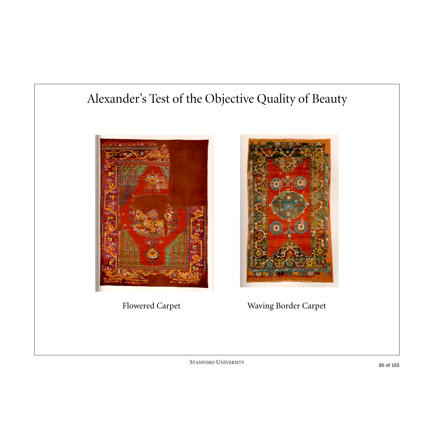### Alexander's Test of the Objective Quality of Beauty





Flowered Carpet Waving Border Carpet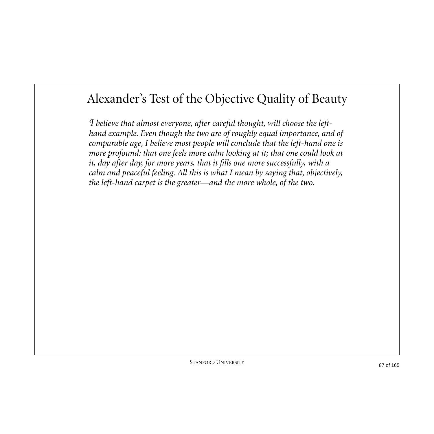#### Alexander's Test of the Objective Quality of Beauty

*I believe that almost everyone, after careful thought, will choose the lefthand example. Even though the two are of roughly equal importance, and of comparable age, I believe most people will conclude that the left-hand one is more profound: that one feels more calm looking at it; that one could look at it, day after day, for more years, that it fills one more successfully, with a calm and peaceful feeling. All this is what I mean by saying that, objectively, the left-hand carpet is the greater—and the more whole, of the two.*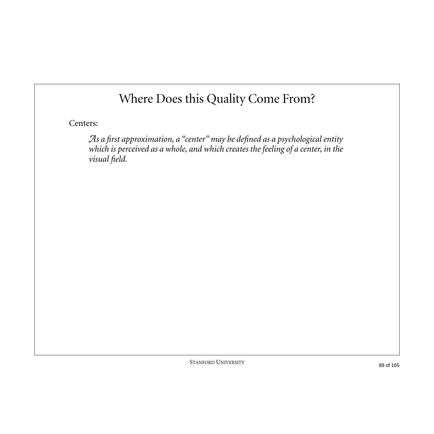## Where Does this Quality Come From?

Centers:

*As a first approximation, a "center" may be defined as a psychological entity which is perceived as a whole, and which creates the feeling of a center, in the visual field.*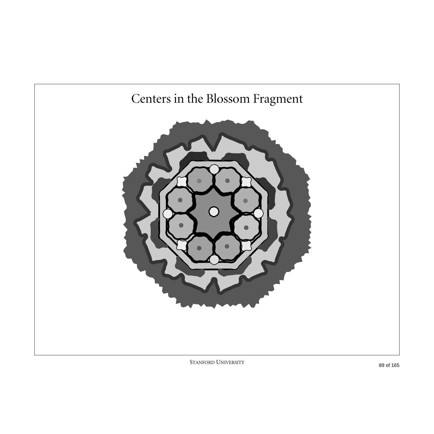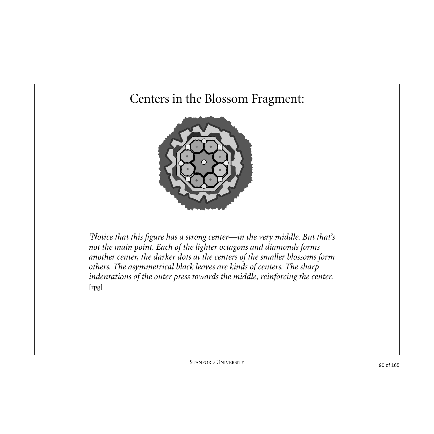### Centers in the Blossom Fragment:



*Notice that this figure has a strong center—in the very middle. But that's not the main point. Each of the lighter octagons and diamonds forms another center, the darker dots at the centers of the smaller blossoms form others. The asymmetrical black leaves are kinds of centers. The sharp indentations of the outer press towards the middle, reinforcing the center.*  [rpg]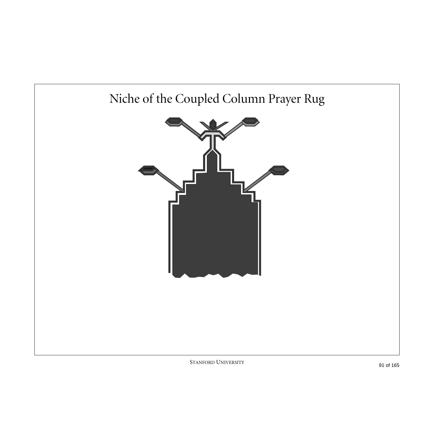## Niche of the Coupled Column Prayer Rug

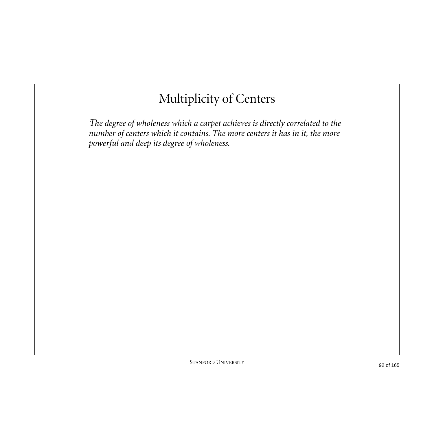## Multiplicity of Centers

*The degree of wholeness which a carpet achieves is directly correlated to the number of centers which it contains. The more centers it has in it, the more powerful and deep its degree of wholeness.*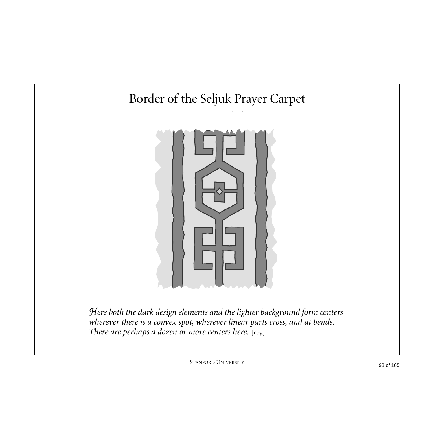

*Here both the dark design elements and the lighter background form centers wherever there is a convex spot, wherever linear parts cross, and at bends.*  There are perhaps a dozen or more centers here. [rpg]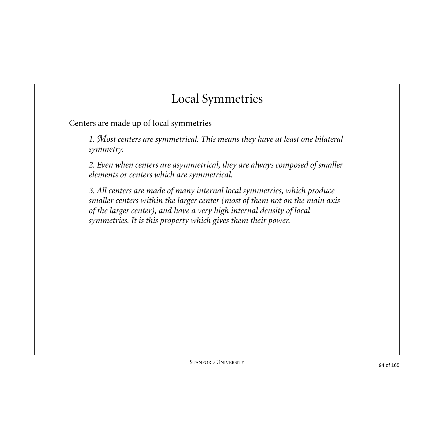### Local Symmetries

Centers are made up of local symmetries

*1. Most centers are symmetrical. This means they have at least one bilateral symmetry.*

*2. Even when centers are asymmetrical, they are always composed of smaller elements or centers which are symmetrical.*

*3. All centers are made of many internal local symmetries, which produce smaller centers within the larger center (most of them not on the main axis of the larger center), and have a very high internal density of local symmetries. It is this property which gives them their power.*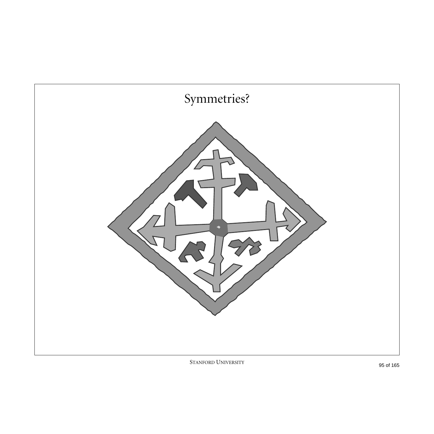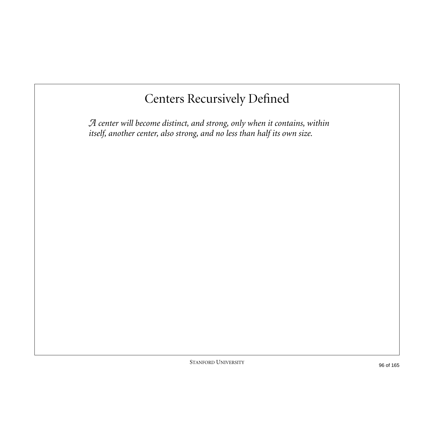## Centers Recursively Defined

*A center will become distinct, and strong, only when it contains, within itself, another center, also strong, and no less than half its own size.*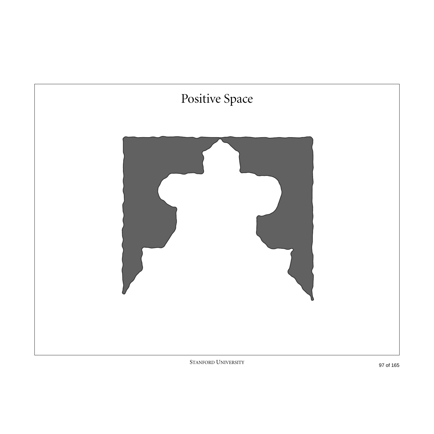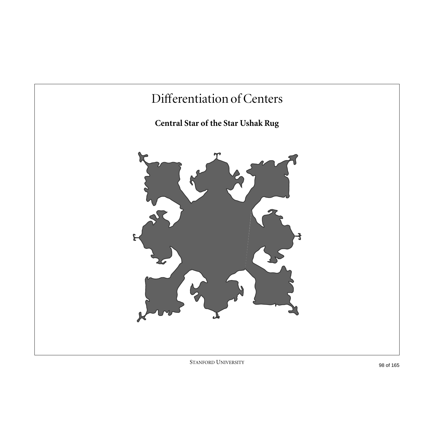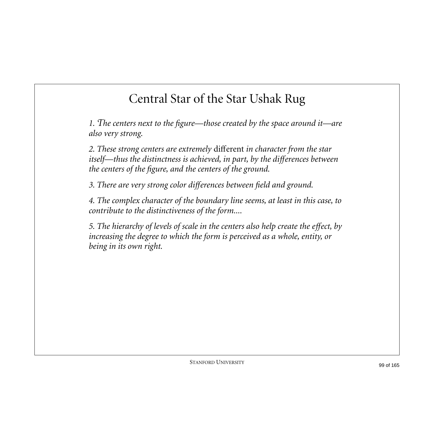## Central Star of the Star Ushak Rug

*1. The centers next to the figure—those created by the space around it—are also very strong.*

*2. These strong centers are extremely* different *in character from the star itself—thus the distinctness is achieved, in part, by the differences between the centers of the figure, and the centers of the ground.*

*3. There are very strong color differences between field and ground.*

*4. The complex character of the boundary line seems, at least in this case, to contribute to the distinctiveness of the form....*

*5. The hierarchy of levels of scale in the centers also help create the effect, by increasing the degree to which the form is perceived as a whole, entity, or being in its own right.*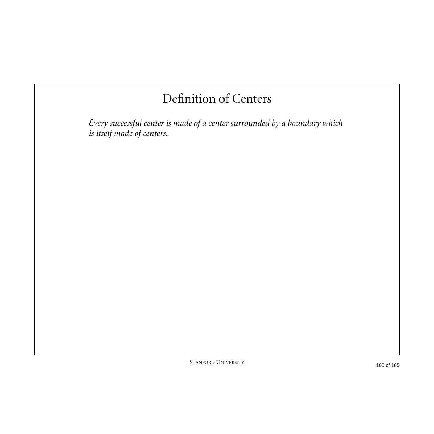## Definition of Centers

*Every successful center is made of a center surrounded by a boundary which is itself made of centers.*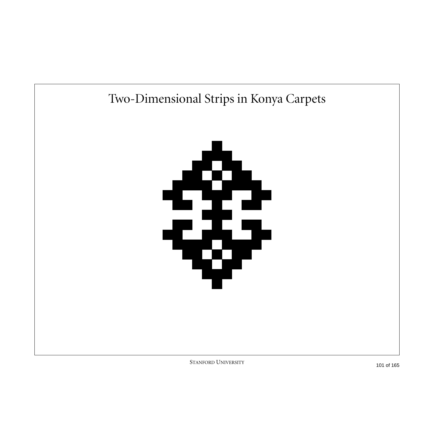

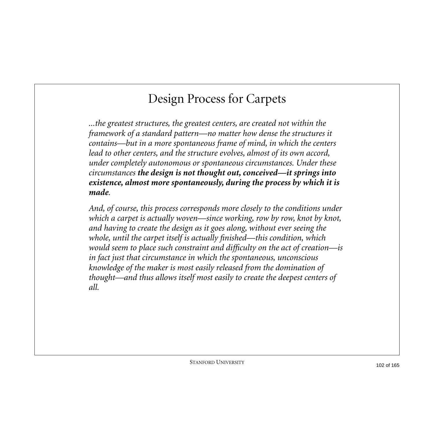## Design Process for Carpets

*...the greatest structures, the greatest centers, are created not within the framework of a standard pattern—no matter how dense the structures it contains—but in a more spontaneous frame of mind, in which the centers lead to other centers, and the structure evolves, almost of its own accord, under completely autonomous or spontaneous circumstances. Under these circumstances the design is not thought out, conceived—it springs into existence, almost more spontaneously, during the process by which it is made.*

*And, of course, this process corresponds more closely to the conditions under which a carpet is actually woven—since working, row by row, knot by knot, and having to create the design as it goes along, without ever seeing the whole, until the carpet itself is actually finished—this condition, which would seem to place such constraint and difficulty on the act of creation—is in fact just that circumstance in which the spontaneous, unconscious knowledge of the maker is most easily released from the domination of thought—and thus allows itself most easily to create the deepest centers of all.*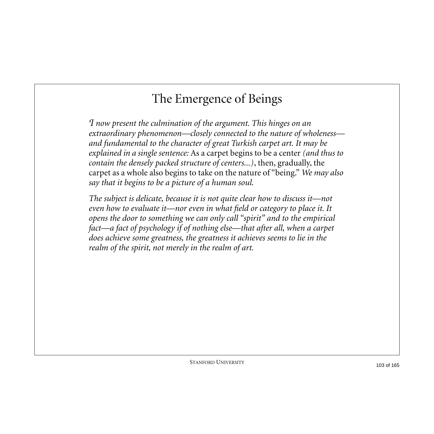## The Emergence of Beings

*I now present the culmination of the argument. This hinges on an extraordinary phenomenon—closely connected to the nature of wholeness and fundamental to the character of great Turkish carpet art. It may be explained in a single sentence:* As a carpet begins to be a center *(and thus to contain the densely packed structure of centers...)*, then, gradually, the carpet as a whole also begins to take on the nature of "being." *We may also say that it begins to be a picture of a human soul.*

*The subject is delicate, because it is not quite clear how to discuss it—not even how to evaluate it—nor even in what field or category to place it. It opens the door to something we can only call "spirit" and to the empirical fact—a fact of psychology if of nothing else—that after all, when a carpet does achieve some greatness, the greatness it achieves seems to lie in the realm of the spirit, not merely in the realm of art.*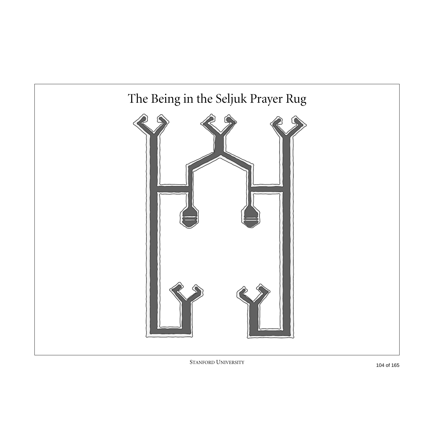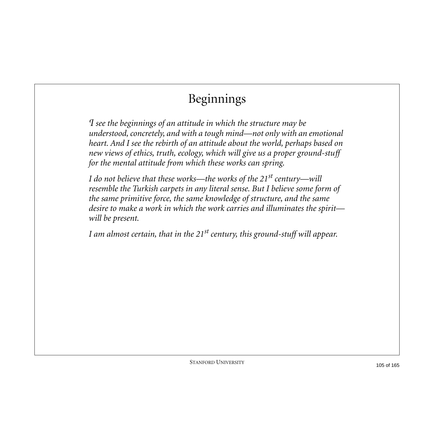# Beginnings

*I see the beginnings of an attitude in which the structure may be understood, concretely, and with a tough mind—not only with an emotional heart. And I see the rebirth of an attitude about the world, perhaps based on new views of ethics, truth, ecology, which will give us a proper ground-stuff for the mental attitude from which these works can spring.*

*I do not believe that these works—the works of the 21st century—will resemble the Turkish carpets in any literal sense. But I believe some form of the same primitive force, the same knowledge of structure, and the same desire to make a work in which the work carries and illuminates the spirit will be present.*

*I am almost certain, that in the 21st century, this ground-stuff will appear.*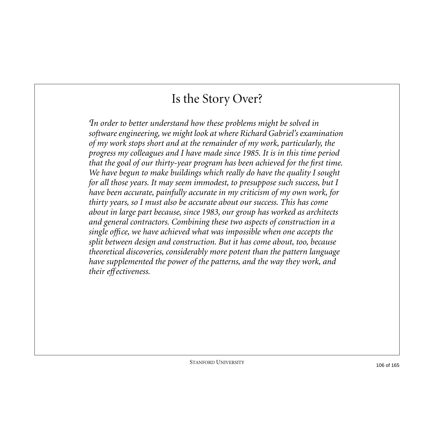#### Is the Story Over?

*In order to better understand how these problems might be solved in software engineering, we might look at where Richard Gabriel's examination of my work stops short and at the remainder of my work, particularly, the progress my colleagues and I have made since 1985. It is in this time period that the goal of our thirty-year program has been achieved for the first time. We have begun to make buildings which really do have the quality I sought for all those years. It may seem immodest, to presuppose such success, but I have been accurate, painfully accurate in my criticism of my own work, for thirty years, so I must also be accurate about our success. This has come about in large part because, since 1983, our group has worked as architects and general contractors. Combining these two aspects of construction in a single office, we have achieved what was impossible when one accepts the split between design and construction. But it has come about, too, because theoretical discoveries, considerably more potent than the pattern language have supplemented the power of the patterns, and the way they work, and their effectiveness.*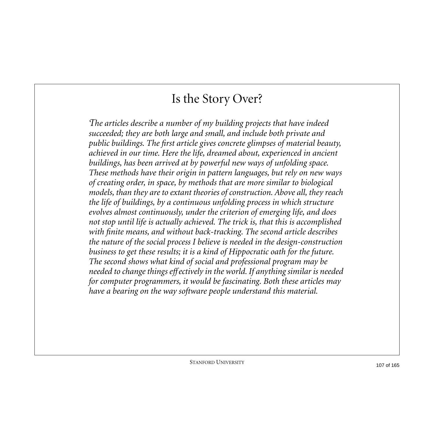#### Is the Story Over?

*The articles describe a number of my building projects that have indeed succeeded; they are both large and small, and include both private and public buildings. The first article gives concrete glimpses of material beauty, achieved in our time. Here the life, dreamed about, experienced in ancient buildings, has been arrived at by powerful new ways of unfolding space. These methods have their origin in pattern languages, but rely on new ways of creating order, in space, by methods that are more similar to biological models, than they are to extant theories of construction. Above all, they reach the life of buildings, by a continuous unfolding process in which structure evolves almost continuously, under the criterion of emerging life, and does not stop until life is actually achieved. The trick is, that this is accomplished with finite means, and without back-tracking. The second article describes the nature of the social process I believe is needed in the design-construction business to get these results; it is a kind of Hippocratic oath for the future. The second shows what kind of social and professional program may be needed to change things effectively in the world. If anything similar is needed for computer programmers, it would be fascinating. Both these articles may have a bearing on the way software people understand this material.*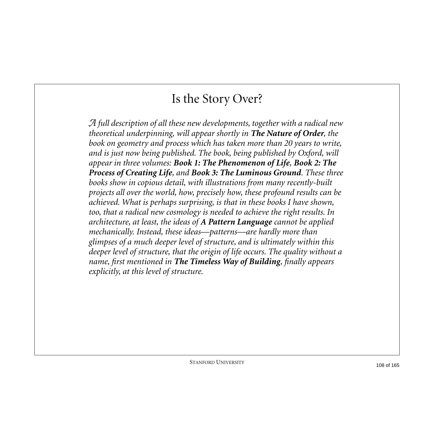#### Is the Story Over?

*A full description of all these new developments, together with a radical new theoretical underpinning, will appear shortly in The Nature of Order, the book on geometry and process which has taken more than 20 years to write, and is just now being published. The book, being published by Oxford, will appear in three volumes: Book 1: The Phenomenon of Life, Book 2: The Process of Creating Life, and Book 3: The Luminous Ground. These three books show in copious detail, with illustrations from many recently-built projects all over the world, how, precisely how, these profound results can be achieved. What is perhaps surprising, is that in these books I have shown, too, that a radical new cosmology is needed to achieve the right results. In architecture, at least, the ideas of A Pattern Language cannot be applied mechanically. Instead, these ideas—patterns—are hardly more than glimpses of a much deeper level of structure, and is ultimately within this deeper level of structure, that the origin of life occurs. The quality without a name, first mentioned in The Timeless Way of Building, finally appears explicitly, at this level of structure.*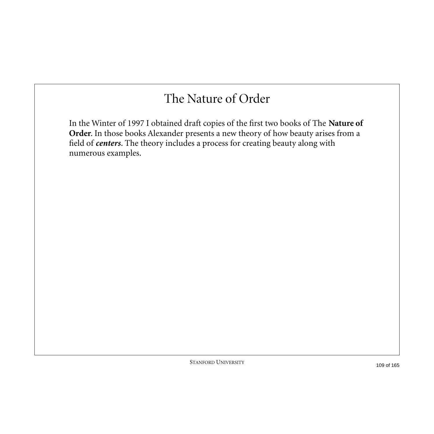#### The Nature of Order

In the Winter of 1997 I obtained draft copies of the first two books of The **Nature of Order**. In those books Alexander presents a new theory of how beauty arises from a field of *centers*. The theory includes a process for creating beauty along with numerous examples.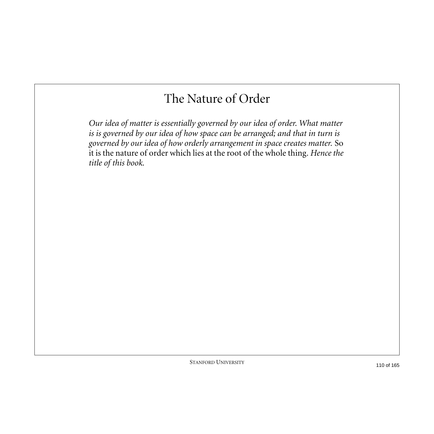#### The Nature of Order

*Our idea of matter is essentially governed by our idea of order. What matter is is governed by our idea of how space can be arranged; and that in turn is governed by our idea of how orderly arrangement in space creates matter.* So it is the nature of order which lies at the root of the whole thing*. Hence the title of this book.*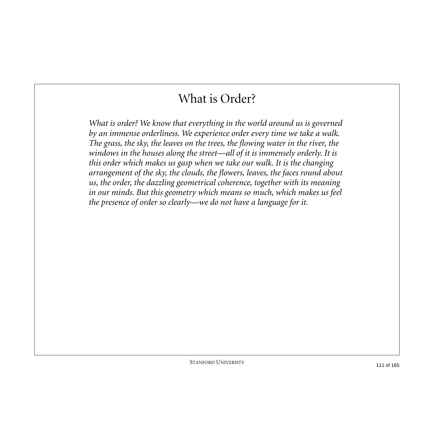#### What is Order?

*What is order? We know that everything in the world around us is governed by an immense orderliness. We experience order every time we take a walk. The grass, the sky, the leaves on the trees, the flowing water in the river, the*  windows in the houses along the street—all of it is immensely orderly. It is *this order which makes us gasp when we take our walk. It is the changing arrangement of the sky, the clouds, the flowers, leaves, the faces round about us, the order, the dazzling geometrical coherence, together with its meaning in our minds. But this geometry which means so much, which makes us feel the presence of order so clearly—we do not have a language for it.*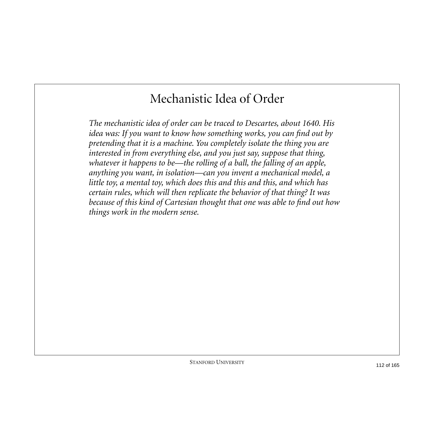## Mechanistic Idea of Order

*The mechanistic idea of order can be traced to Descartes, about 1640. His idea was: If you want to know how something works, you can find out by pretending that it is a machine. You completely isolate the thing you are interested in from everything else, and you just say, suppose that thing, whatever it happens to be—the rolling of a ball, the falling of an apple, anything you want, in isolation—can you invent a mechanical model, a little toy, a mental toy, which does this and this and this, and which has certain rules, which will then replicate the behavior of that thing? It was because of this kind of Cartesian thought that one was able to find out how things work in the modern sense.*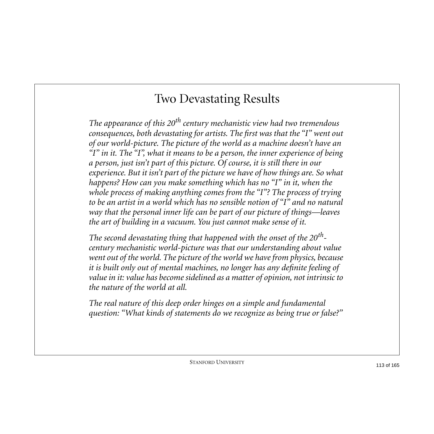### Two Devastating Results

*The appearance of this 20th century mechanistic view had two tremendous consequences, both devastating for artists. The first was that the "I" went out of our world-picture. The picture of the world as a machine doesn't have an "I" in it. The "I", what it means to be a person, the inner experience of being a person, just isn't part of this picture. Of course, it is still there in our experience. But it isn't part of the picture we have of how things are. So what happens? How can you make something which has no "I" in it, when the whole process of making anything comes from the "I"? The process of trying to be an artist in a world which has no sensible notion of "I" and no natural way that the personal inner life can be part of our picture of things—leaves the art of building in a vacuum. You just cannot make sense of it.*

*The second devastating thing that happened with the onset of the 20thcentury mechanistic world-picture was that our understanding about value went out of the world. The picture of the world we have from physics, because it is built only out of mental machines, no longer has any definite feeling of value in it: value has become sidelined as a matter of opinion, not intrinsic to the nature of the world at all.*

*The real nature of this deep order hinges on a simple and fundamental question: "What kinds of statements do we recognize as being true or false?"*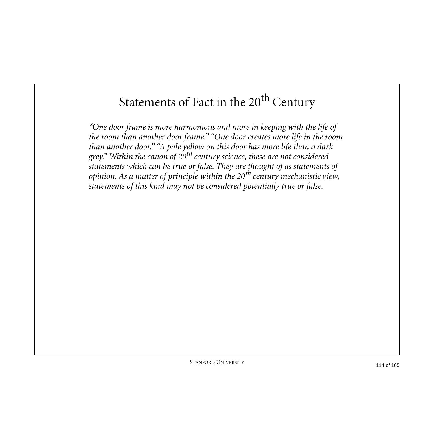# Statements of Fact in the 20<sup>th</sup> Century

*"One door frame is more harmonious and more in keeping with the life of the room than another door frame." "One door creates more life in the room than another door." "A pale yellow on this door has more life than a dark grey." Within the canon of 20th century science, these are not considered statements which can be true or false. They are thought of as statements of opinion. As a matter of principle within the 20th century mechanistic view, statements of this kind may not be considered potentially true or false.*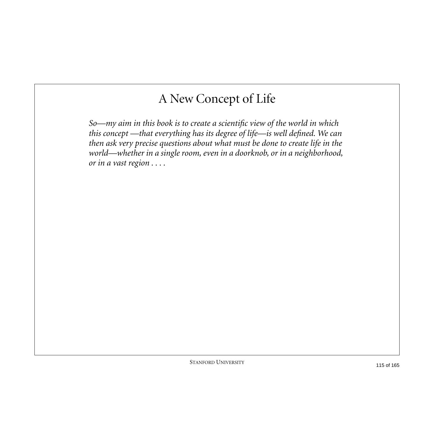## A New Concept of Life

*So—my aim in this book is to create a scientific view of the world in which this concept —that everything has its degree of life—is well defined. We can then ask very precise questions about what must be done to create life in the world—whether in a single room, even in a doorknob, or in a neighborhood, or in a vast region . . . .*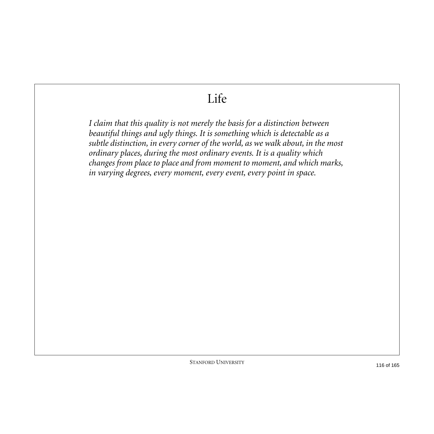### Life

*I claim that this quality is not merely the basis for a distinction between beautiful things and ugly things. It is something which is detectable as a subtle distinction, in every corner of the world, as we walk about, in the most ordinary places, during the most ordinary events. It is a quality which changes from place to place and from moment to moment, and which marks, in varying degrees, every moment, every event, every point in space.*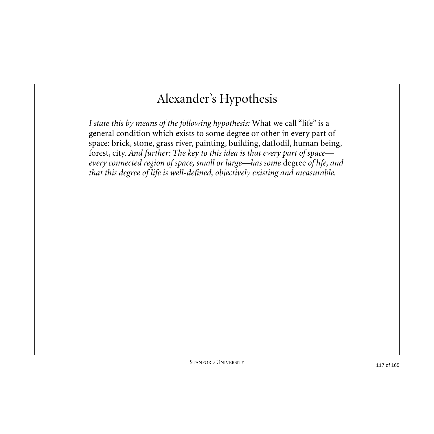## Alexander's Hypothesis

*I state this by means of the following hypothesis:* What we call "life" is a general condition which exists to some degree or other in every part of space: brick, stone, grass river, painting, building, daffodil, human being, forest, city*. And further: The key to this idea is that every part of space every connected region of space, small or large—has some* degree *of life, and that this degree of life is well-defined, objectively existing and measurable.*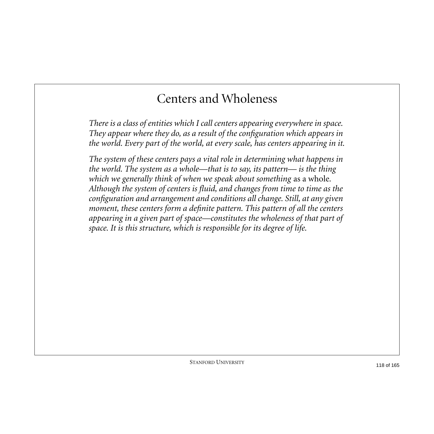#### Centers and Wholeness

*There is a class of entities which I call centers appearing everywhere in space. They appear where they do, as a result of the configuration which appears in the world. Every part of the world, at every scale, has centers appearing in it.*

*The system of these centers pays a vital role in determining what happens in the world. The system as a whole—that is to say, its pattern— is the thing*  which we generally think of when we speak about something as a whole. *Although the system of centers is fluid, and changes from time to time as the configuration and arrangement and conditions all change. Still, at any given moment, these centers form a definite pattern. This pattern of all the centers appearing in a given part of space—constitutes the wholeness of that part of space. It is this structure, which is responsible for its degree of life.*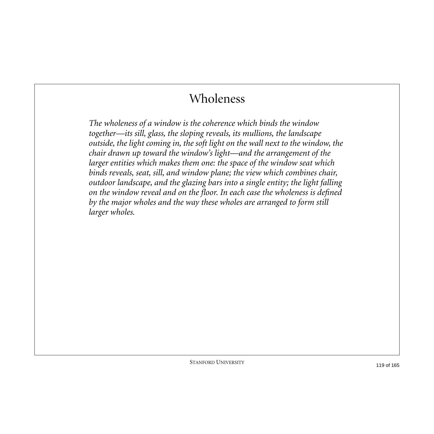#### Wholeness

*The wholeness of a window is the coherence which binds the window together—its sill, glass, the sloping reveals, its mullions, the landscape outside, the light coming in, the soft light on the wall next to the window, the chair drawn up toward the window's light—and the arrangement of the larger entities which makes them one: the space of the window seat which binds reveals, seat, sill, and window plane; the view which combines chair, outdoor landscape, and the glazing bars into a single entity; the light falling on the window reveal and on the floor. In each case the wholeness is defined by the major wholes and the way these wholes are arranged to form still larger wholes.*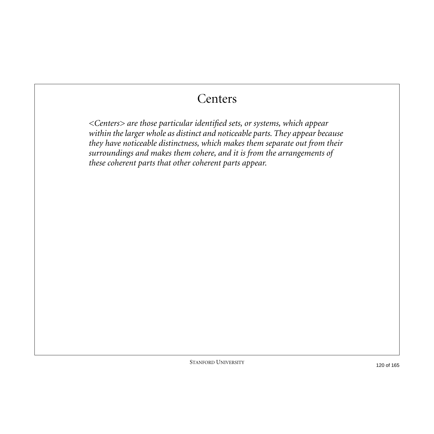#### **Centers**

*<Centers> are those particular identified sets, or systems, which appear within the larger whole as distinct and noticeable parts. They appear because they have noticeable distinctness, which makes them separate out from their surroundings and makes them cohere, and it is from the arrangements of these coherent parts that other coherent parts appear.*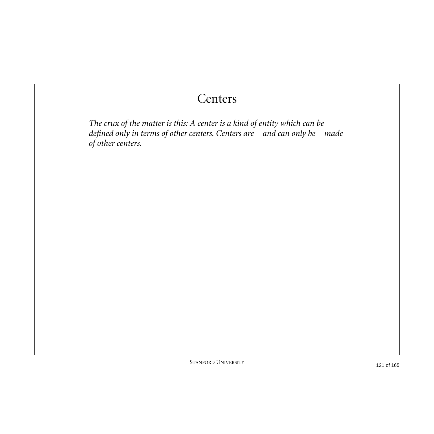#### **Centers**

*The crux of the matter is this: A center is a kind of entity which can be defined only in terms of other centers. Centers are—and can only be—made of other centers.*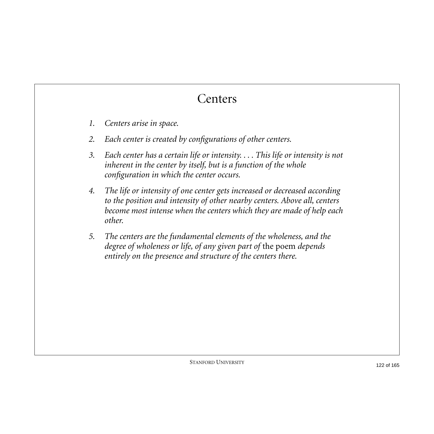## **Centers**

- *1. Centers arise in space.*
- *2. Each center is created by configurations of other centers.*
- *3. Each center has a certain life or intensity. . . . This life or intensity is not inherent in the center by itself, but is a function of the whole configuration in which the center occurs.*
- *4. The life or intensity of one center gets increased or decreased according to the position and intensity of other nearby centers. Above all, centers become most intense when the centers which they are made of help each other.*
- *5. The centers are the fundamental elements of the wholeness, and the degree of wholeness or life, of any given part of* the poem *depends entirely on the presence and structure of the centers there.*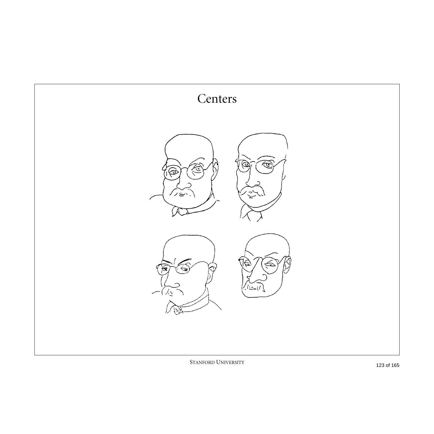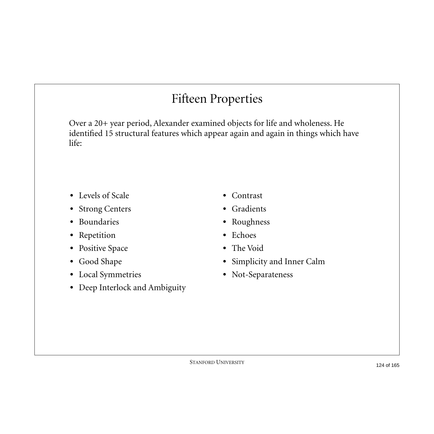# Fifteen Properties

Over a 20+ year period, Alexander examined objects for life and wholeness. He identified 15 structural features which appear again and again in things which have life:

- **•** Levels of Scale
- **•** Strong Centers
- **•** Boundaries
- **•** Repetition
- **•** Positive Space
- **•** Good Shape
- **•** Local Symmetries
- **•** Deep Interlock and Ambiguity
- **•** Contrast
- **•** Gradients
- **•** Roughness
- **•** Echoes
- **•** The Void
- **•** Simplicity and Inner Calm
- **•** Not-Separateness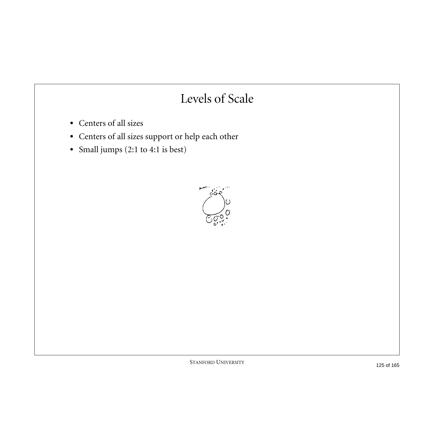## Levels of Scale

- **•** Centers of all sizes
- **•** Centers of all sizes support or help each other
- **•** Small jumps (2:1 to 4:1 is best)

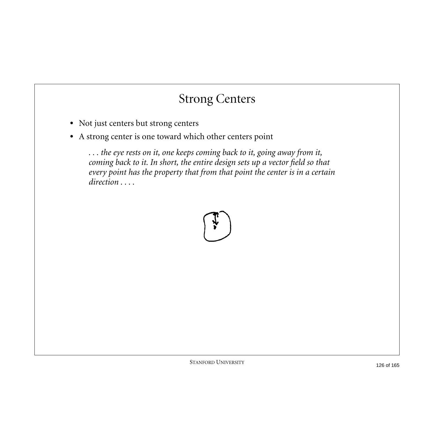## Strong Centers

- **•** Not just centers but strong centers
- **•** A strong center is one toward which other centers point

*. . . the eye rests on it, one keeps coming back to it, going away from it, coming back to it. In short, the entire design sets up a vector field so that every point has the property that from that point the center is in a certain direction . . . .*

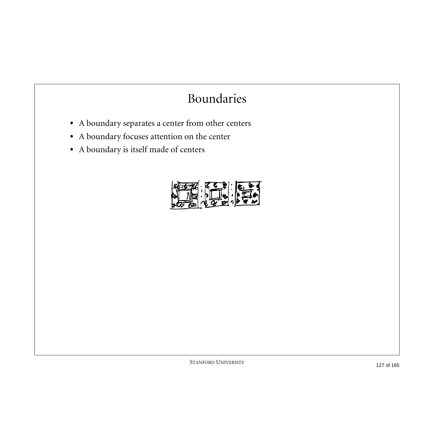## Boundaries

- **•** A boundary separates a center from other centers
- **•** A boundary focuses attention on the center
- **•** A boundary is itself made of centers

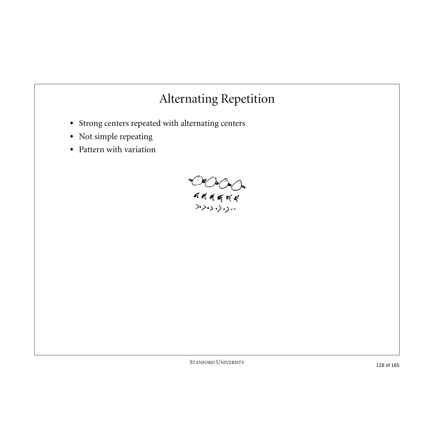## Alternating Repetition

- **•** Strong centers repeated with alternating centers
- **•** Not simple repeating
- **•** Pattern with variation

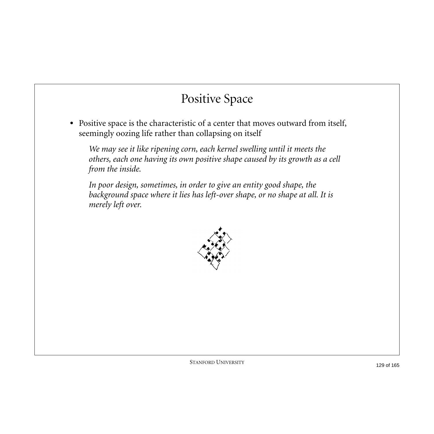## Positive Space

**•** Positive space is the characteristic of a center that moves outward from itself, seemingly oozing life rather than collapsing on itself

*We may see it like ripening corn, each kernel swelling until it meets the others, each one having its own positive shape caused by its growth as a cell from the inside.*

*In poor design, sometimes, in order to give an entity good shape, the background space where it lies has left-over shape, or no shape at all. It is merely left over.*

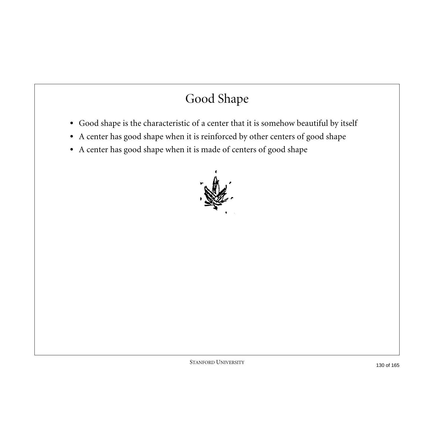# Good Shape

- **•** Good shape is the characteristic of a center that it is somehow beautiful by itself
- **•** A center has good shape when it is reinforced by other centers of good shape
- **•** A center has good shape when it is made of centers of good shape

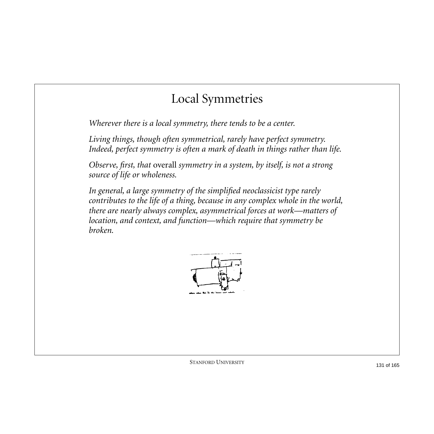#### Local Symmetries

*Wherever there is a local symmetry, there tends to be a center.*

*Living things, though often symmetrical, rarely have perfect symmetry. Indeed, perfect symmetry is often a mark of death in things rather than life.*

*Observe, first, that* overall *symmetry in a system, by itself, is not a strong source of life or wholeness.*

*In general, a large symmetry of the simplified neoclassicist type rarely contributes to the life of a thing, because in any complex whole in the world, there are nearly always complex, asymmetrical forces at work—matters of location, and context, and function—which require that symmetry be broken.*

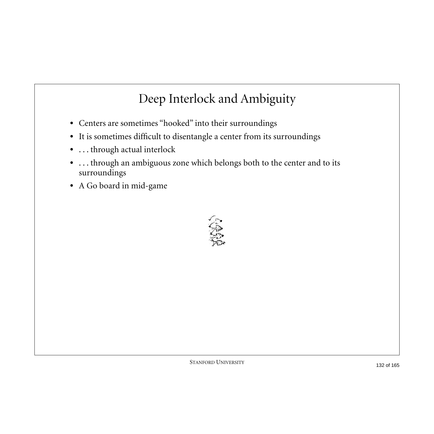## Deep Interlock and Ambiguity

- **•** Centers are sometimes "hooked" into their surroundings
- **•** It is sometimes difficult to disentangle a center from its surroundings
- **•** . . . through actual interlock
- **•** . . . through an ambiguous zone which belongs both to the center and to its surroundings
- **•** A Go board in mid-game

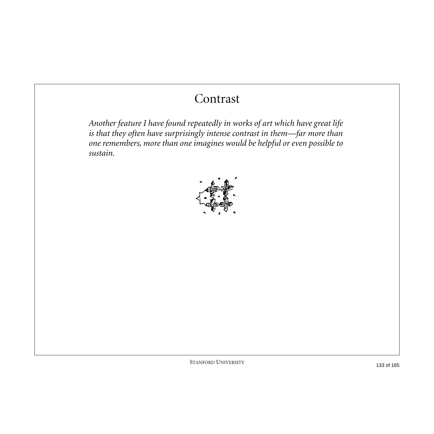## Contrast

*Another feature I have found repeatedly in works of art which have great life is that they often have surprisingly intense contrast in them—far more than one remembers, more than one imagines would be helpful or even possible to sustain.*

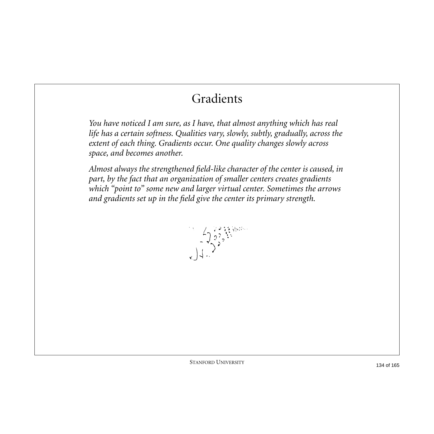## Gradients

*You have noticed I am sure, as I have, that almost anything which has real life has a certain softness. Qualities vary, slowly, subtly, gradually, across the extent of each thing. Gradients occur. One quality changes slowly across space, and becomes another.*

*Almost always the strengthened field-like character of the center is caused, in part, by the fact that an organization of smaller centers creates gradients which "point to" some new and larger virtual center. Sometimes the arrows and gradients set up in the field give the center its primary strength.*

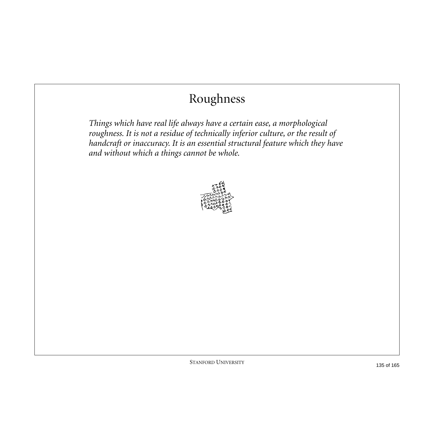# Roughness

*Things which have real life always have a certain ease, a morphological roughness. It is not a residue of technically inferior culture, or the result of handcraft or inaccuracy. It is an essential structural feature which they have and without which a things cannot be whole.*

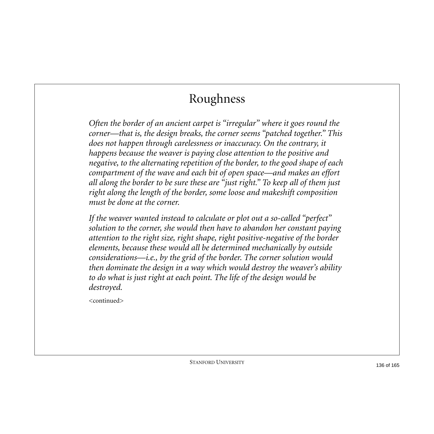# Roughness

*Often the border of an ancient carpet is "irregular" where it goes round the corner—that is, the design breaks, the corner seems "patched together." This does not happen through carelessness or inaccuracy. On the contrary, it happens because the weaver is paying close attention to the positive and negative, to the alternating repetition of the border, to the good shape of each compartment of the wave and each bit of open space—and makes an effort all along the border to be sure these are "just right." To keep all of them just right along the length of the border, some loose and makeshift composition must be done at the corner.*

*If the weaver wanted instead to calculate or plot out a so-called "perfect" solution to the corner, she would then have to abandon her constant paying attention to the right size, right shape, right positive-negative of the border elements, because these would all be determined mechanically by outside considerations—i.e., by the grid of the border. The corner solution would then dominate the design in a way which would destroy the weaver's ability to do what is just right at each point. The life of the design would be destroyed.*

<continued>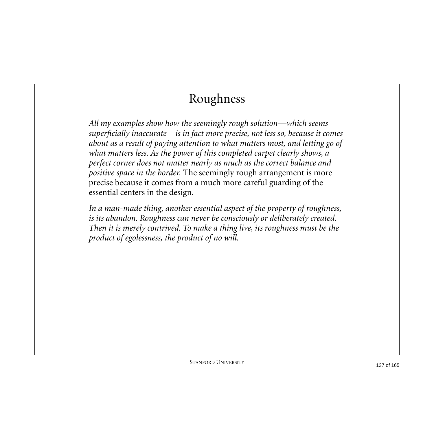# Roughness

*All my examples show how the seemingly rough solution—which seems superficially inaccurate—is in fact more precise, not less so, because it comes about as a result of paying attention to what matters most, and letting go of what matters less. As the power of this completed carpet clearly shows, a perfect corner does not matter nearly as much as the correct balance and positive space in the border.* The seemingly rough arrangement is more precise because it comes from a much more careful guarding of the essential centers in the design*.*

*In a man-made thing, another essential aspect of the property of roughness, is its abandon. Roughness can never be consciously or deliberately created. Then it is merely contrived. To make a thing live, its roughness must be the product of egolessness, the product of no will.*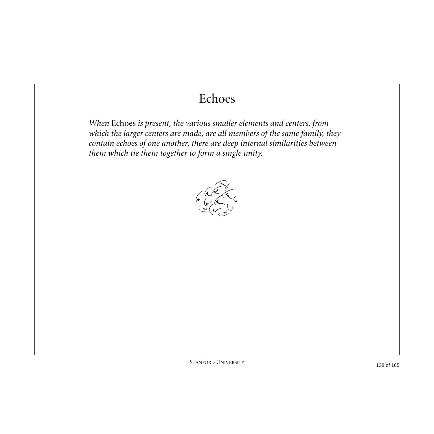## Echoes

*When* Echoes *is present, the various smaller elements and centers, from which the larger centers are made, are all members of the same family, they contain echoes of one another, there are deep internal similarities between them which tie them together to form a single unity.*

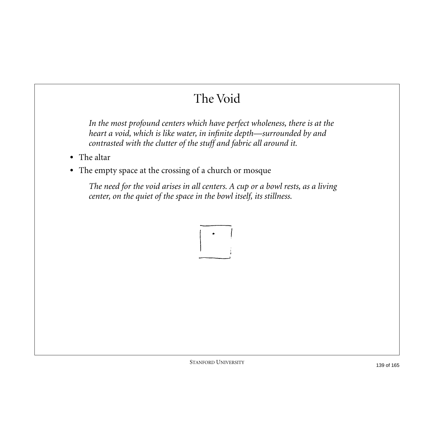# The Void

*In the most profound centers which have perfect wholeness, there is at the heart a void, which is like water, in infinite depth—surrounded by and contrasted with the clutter of the stuff and fabric all around it.*

- **•** The altar
- **•** The empty space at the crossing of a church or mosque

*The need for the void arises in all centers. A cup or a bowl rests, as a living center, on the quiet of the space in the bowl itself, its stillness.*

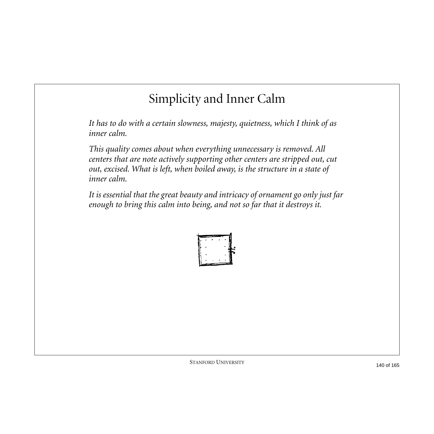## Simplicity and Inner Calm

*It has to do with a certain slowness, majesty, quietness, which I think of as inner calm.*

*This quality comes about when everything unnecessary is removed. All centers that are note actively supporting other centers are stripped out, cut out, excised. What is left, when boiled away, is the structure in a state of inner calm.*

*It is essential that the great beauty and intricacy of ornament go only just far enough to bring this calm into being, and not so far that it destroys it.*

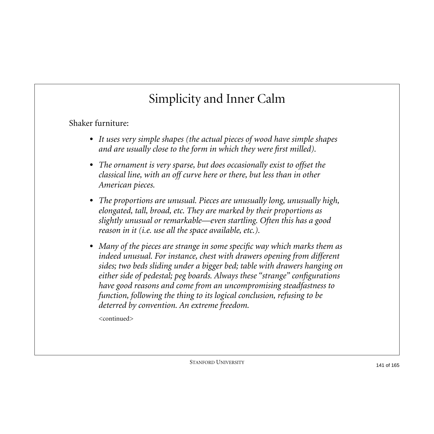# Simplicity and Inner Calm

Shaker furniture:

- **•** *It uses very simple shapes (the actual pieces of wood have simple shapes and are usually close to the form in which they were first milled).*
- **•** *The ornament is very sparse, but does occasionally exist to offset the classical line, with an off curve here or there, but less than in other American pieces.*
- **•** *The proportions are unusual. Pieces are unusually long, unusually high, elongated, tall, broad, etc. They are marked by their proportions as slightly unusual or remarkable—even startling. Often this has a good reason in it (i.e. use all the space available, etc.).*
- **•** *Many of the pieces are strange in some specific way which marks them as indeed unusual. For instance, chest with drawers opening from different sides; two beds sliding under a bigger bed; table with drawers hanging on either side of pedestal; peg boards. Always these "strange" configurations have good reasons and come from an uncompromising steadfastness to function, following the thing to its logical conclusion, refusing to be deterred by convention. An extreme freedom.*

<continued>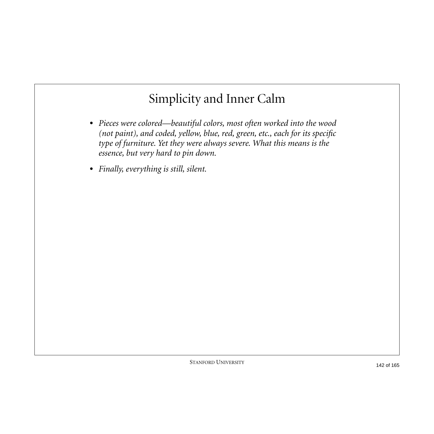## Simplicity and Inner Calm

- **•** *Pieces were colored—beautiful colors, most often worked into the wood (not paint), and coded, yellow, blue, red, green, etc., each for its specific type of furniture. Yet they were always severe. What this means is the essence, but very hard to pin down.*
- **•** *Finally, everything is still, silent.*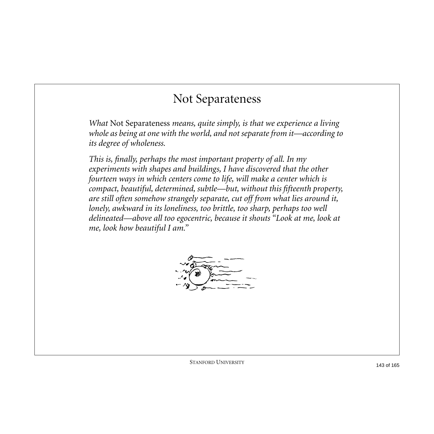#### Not Separateness

*What* Not Separateness *means, quite simply, is that we experience a living whole as being at one with the world, and not separate from it—according to its degree of wholeness.*

*This is, finally, perhaps the most important property of all. In my experiments with shapes and buildings, I have discovered that the other fourteen ways in which centers come to life, will make a center which is compact, beautiful, determined, subtle—but, without this fifteenth property, are still often somehow strangely separate, cut off from what lies around it, lonely, awkward in its loneliness, too brittle, too sharp, perhaps too well delineated—above all too egocentric, because it shouts "Look at me, look at me, look how beautiful I am."*

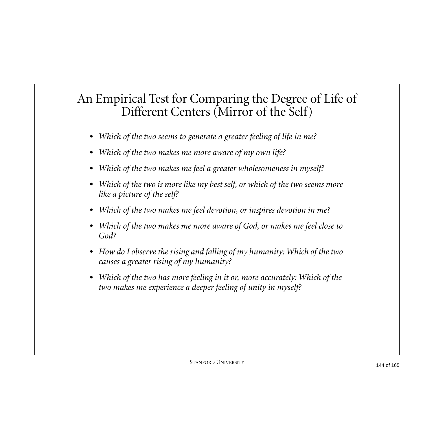#### An Empirical Test for Comparing the Degree of Life of Different Centers (Mirror of the Self)

- **•** *Which of the two seems to generate a greater feeling of life in me?*
- **•** *Which of the two makes me more aware of my own life?*
- **•** *Which of the two makes me feel a greater wholesomeness in myself?*
- **•** *Which of the two is more like my best self, or which of the two seems more like a picture of the self?*
- **•** *Which of the two makes me feel devotion, or inspires devotion in me?*
- **•** *Which of the two makes me more aware of God, or makes me feel close to God?*
- **•** *How do I observe the rising and falling of my humanity: Which of the two causes a greater rising of my humanity?*
- **•** *Which of the two has more feeling in it or, more accurately: Which of the two makes me experience a deeper feeling of unity in myself?*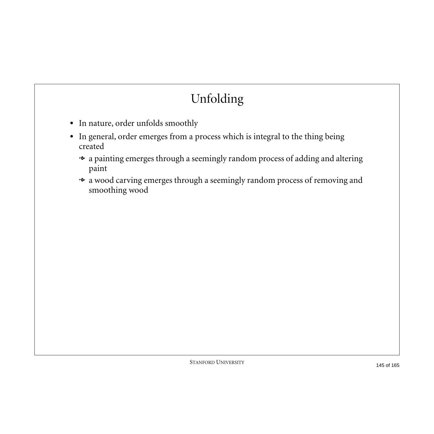# Unfolding

- **•** In nature, order unfolds smoothly
- **•** In general, order emerges from a process which is integral to the thing being created
	- a painting emerges through a seemingly random process of adding and altering paint
	- $\bullet$  a wood carving emerges through a seemingly random process of removing and smoothing wood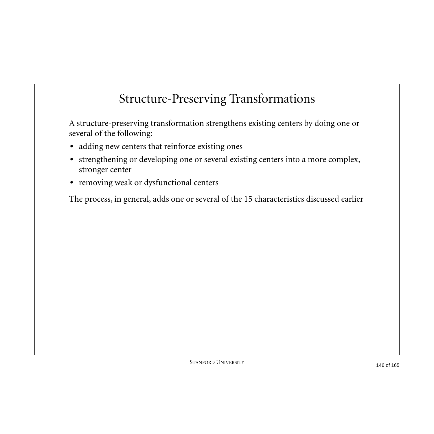#### Structure-Preserving Transformations

A structure-preserving transformation strengthens existing centers by doing one or several of the following:

- **•** adding new centers that reinforce existing ones
- **•** strengthening or developing one or several existing centers into a more complex, stronger center
- **•** removing weak or dysfunctional centers

The process, in general, adds one or several of the 15 characteristics discussed earlier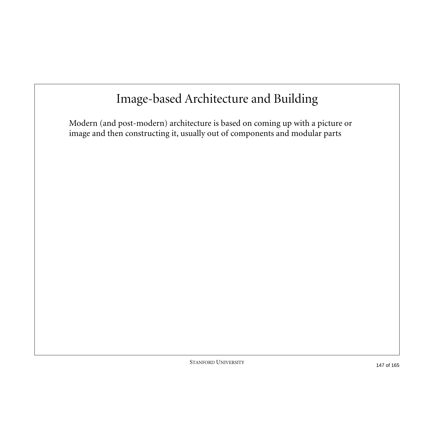### Image-based Architecture and Building

Modern (and post-modern) architecture is based on coming up with a picture or image and then constructing it, usually out of components and modular parts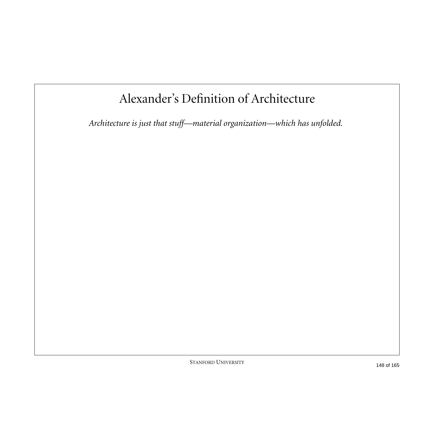### Alexander's Definition of Architecture

*Architecture is just that stuff—material organization—which has unfolded.*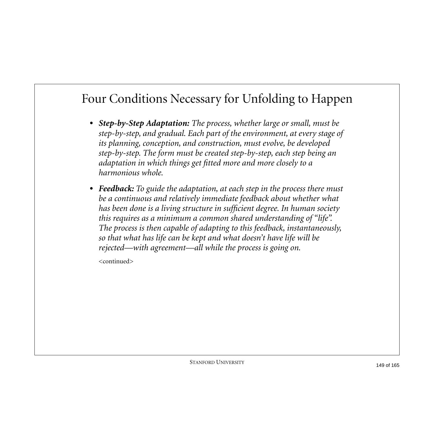#### Four Conditions Necessary for Unfolding to Happen

- **•** *Step-by-Step Adaptation: The process, whether large or small, must be step-by-step, and gradual. Each part of the environment, at every stage of its planning, conception, and construction, must evolve, be developed step-by-step. The form must be created step-by-step, each step being an adaptation in which things get fitted more and more closely to a harmonious whole.*
- **•** *Feedback: To guide the adaptation, at each step in the process there must be a continuous and relatively immediate feedback about whether what has been done is a living structure in sufficient degree. In human society this requires as a minimum a common shared understanding of "life". The process is then capable of adapting to this feedback, instantaneously, so that what has life can be kept and what doesn't have life will be rejected—with agreement—all while the process is going on.*

<continued>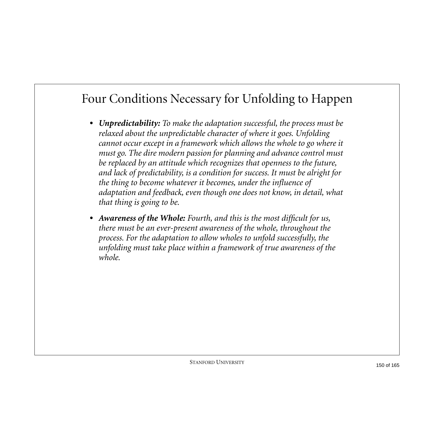#### Four Conditions Necessary for Unfolding to Happen

- **•** *Unpredictability: To make the adaptation successful, the process must be relaxed about the unpredictable character of where it goes. Unfolding cannot occur except in a framework which allows the whole to go where it must go. The dire modern passion for planning and advance control must be replaced by an attitude which recognizes that openness to the future, and lack of predictability, is a condition for success. It must be alright for the thing to become whatever it becomes, under the influence of adaptation and feedback, even though one does not know, in detail, what that thing is going to be.*
- **•** *Awareness of the Whole: Fourth, and this is the most difficult for us, there must be an ever-present awareness of the whole, throughout the process. For the adaptation to allow wholes to unfold successfully, the unfolding must take place within a framework of true awareness of the whole.*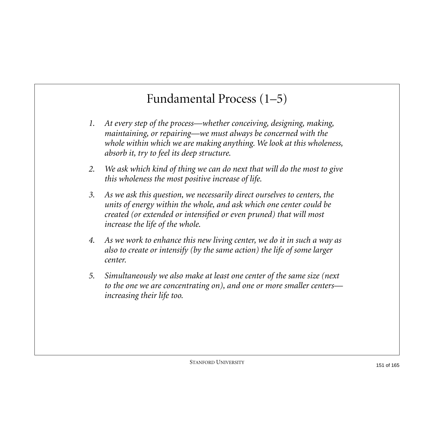#### Fundamental Process (1–5)

- *1. At every step of the process—whether conceiving, designing, making, maintaining, or repairing—we must always be concerned with the whole within which we are making anything. We look at this wholeness, absorb it, try to feel its deep structure.*
- *2. We ask which kind of thing we can do next that will do the most to give this wholeness the most positive increase of life.*
- *3. As we ask this question, we necessarily direct ourselves to centers, the units of energy within the whole, and ask which one center could be created (or extended or intensified or even pruned) that will most increase the life of the whole.*
- *4. As we work to enhance this new living center, we do it in such a way as also to create or intensify (by the same action) the life of some larger center.*
- *5. Simultaneously we also make at least one center of the same size (next to the one we are concentrating on), and one or more smaller centers increasing their life too.*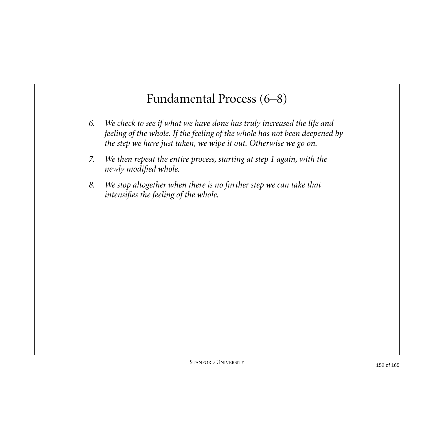#### Fundamental Process (6–8)

- *6. We check to see if what we have done has truly increased the life and feeling of the whole. If the feeling of the whole has not been deepened by the step we have just taken, we wipe it out. Otherwise we go on.*
- *7. We then repeat the entire process, starting at step 1 again, with the newly modified whole.*
- *8. We stop altogether when there is no further step we can take that intensifies the feeling of the whole.*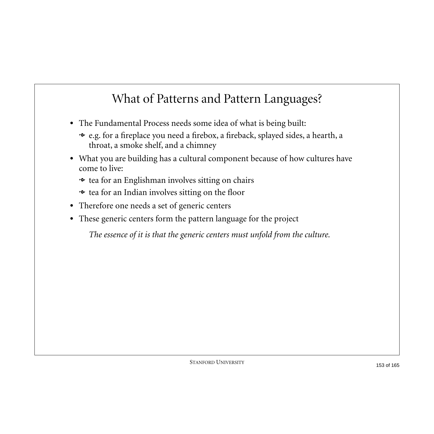### What of Patterns and Pattern Languages?

- **•** The Fundamental Process needs some idea of what is being built:
	- e.g. for a fireplace you need a firebox, a fireback, splayed sides, a hearth, a throat, a smoke shelf, and a chimney
- **•** What you are building has a cultural component because of how cultures have come to live:
	- tea for an Englishman involves sitting on chairs
	- tea for an Indian involves sitting on the floor
- **•** Therefore one needs a set of generic centers
- **•** These generic centers form the pattern language for the project

*The essence of it is that the generic centers must unfold from the culture.*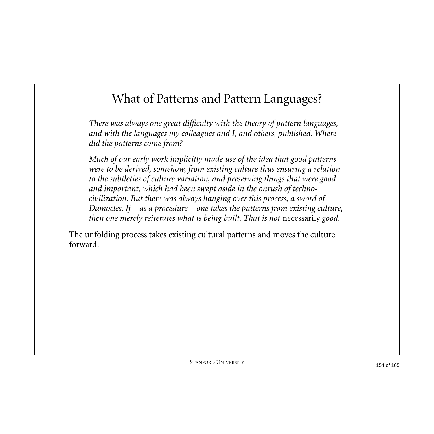#### What of Patterns and Pattern Languages?

*There was always one great difficulty with the theory of pattern languages, and with the languages my colleagues and I, and others, published. Where did the patterns come from?*

*Much of our early work implicitly made use of the idea that good patterns were to be derived, somehow, from existing culture thus ensuring a relation to the subtleties of culture variation, and preserving things that were good and important, which had been swept aside in the onrush of technocivilization. But there was always hanging over this process, a sword of Damocles. If—as a procedure—one takes the patterns from existing culture, then one merely reiterates what is being built. That is not necessarily good.* 

The unfolding process takes existing cultural patterns and moves the culture forward.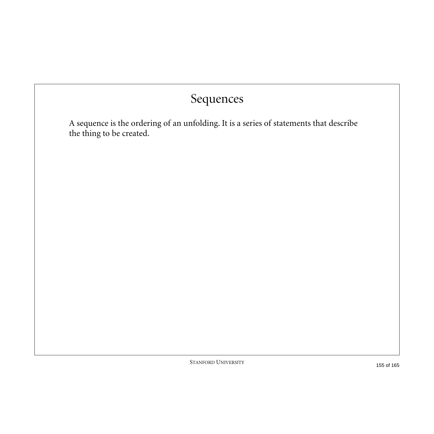#### Sequences

A sequence is the ordering of an unfolding. It is a series of statements that describe the thing to be created.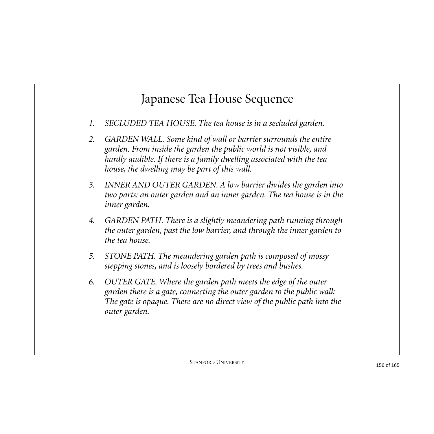- *1. SECLUDED TEA HOUSE. The tea house is in a secluded garden.*
- *2. GARDEN WALL. Some kind of wall or barrier surrounds the entire garden. From inside the garden the public world is not visible, and hardly audible. If there is a family dwelling associated with the tea house, the dwelling may be part of this wall.*
- *3. INNER AND OUTER GARDEN. A low barrier divides the garden into two parts: an outer garden and an inner garden. The tea house is in the inner garden.*
- *4. GARDEN PATH. There is a slightly meandering path running through the outer garden, past the low barrier, and through the inner garden to the tea house.*
- *5. STONE PATH. The meandering garden path is composed of mossy stepping stones, and is loosely bordered by trees and bushes.*
- *6. OUTER GATE. Where the garden path meets the edge of the outer garden there is a gate, connecting the outer garden to the public walk The gate is opaque. There are no direct view of the public path into the outer garden.*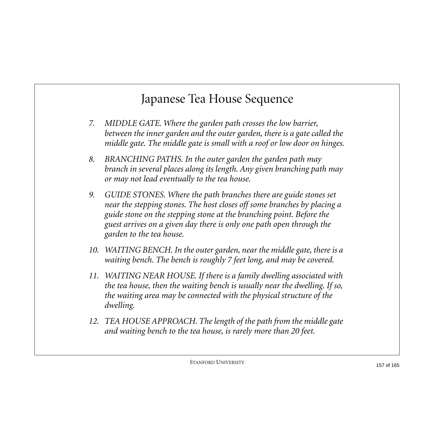- *7. MIDDLE GATE. Where the garden path crosses the low barrier, between the inner garden and the outer garden, there is a gate called the middle gate. The middle gate is small with a roof or low door on hinges.*
- *8. BRANCHING PATHS. In the outer garden the garden path may branch in several places along its length. Any given branching path may or may not lead eventually to the tea house.*
- *9. GUIDE STONES. Where the path branches there are guide stones set near the stepping stones. The host closes off some branches by placing a guide stone on the stepping stone at the branching point. Before the guest arrives on a given day there is only one path open through the garden to the tea house.*
- *10. WAITING BENCH. In the outer garden, near the middle gate, there is a waiting bench. The bench is roughly 7 feet long, and may be covered.*
- *11. WAITING NEAR HOUSE. If there is a family dwelling associated with the tea house, then the waiting bench is usually near the dwelling. If so, the waiting area may be connected with the physical structure of the dwelling.*
- *12. TEA HOUSE APPROACH. The length of the path from the middle gate and waiting bench to the tea house, is rarely more than 20 feet.*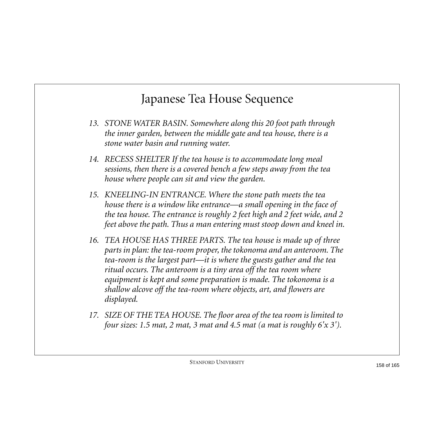- *13. STONE WATER BASIN. Somewhere along this 20 foot path through the inner garden, between the middle gate and tea house, there is a stone water basin and running water.*
- *14. RECESS SHELTER If the tea house is to accommodate long meal sessions, then there is a covered bench a few steps away from the tea house where people can sit and view the garden.*
- *15. KNEELING-IN ENTRANCE. Where the stone path meets the tea house there is a window like entrance—a small opening in the face of the tea house. The entrance is roughly 2 feet high and 2 feet wide, and 2 feet above the path. Thus a man entering must stoop down and kneel in.*
- *16. TEA HOUSE HAS THREE PARTS. The tea house is made up of three parts in plan: the tea-room proper, the tokonoma and an anteroom. The tea-room is the largest part—it is where the guests gather and the tea ritual occurs. The anteroom is a tiny area off the tea room where equipment is kept and some preparation is made. The tokonoma is a shallow alcove off the tea-room where objects, art, and flowers are displayed.*
- *17. SIZE OF THE TEA HOUSE. The floor area of the tea room is limited to four sizes: 1.5 mat, 2 mat, 3 mat and 4.5 mat (a mat is roughly 6'x 3').*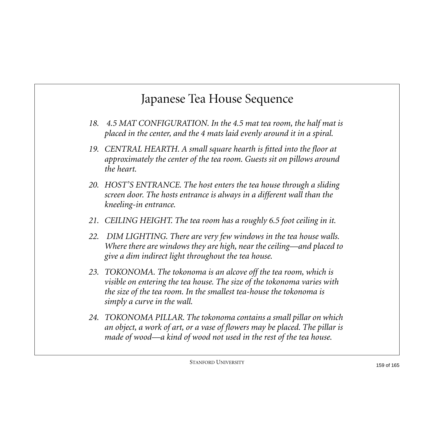- *18. 4.5 MAT CONFIGURATION. In the 4.5 mat tea room, the half mat is placed in the center, and the 4 mats laid evenly around it in a spiral.*
- *19. CENTRAL HEARTH. A small square hearth is fitted into the floor at approximately the center of the tea room. Guests sit on pillows around the heart.*
- *20. HOST'S ENTRANCE. The host enters the tea house through a sliding screen door. The hosts entrance is always in a different wall than the kneeling-in entrance.*
- *21. CEILING HEIGHT. The tea room has a roughly 6.5 foot ceiling in it.*
- *22. DIM LIGHTING. There are very few windows in the tea house walls. Where there are windows they are high, near the ceiling—and placed to give a dim indirect light throughout the tea house.*
- *23. TOKONOMA. The tokonoma is an alcove off the tea room, which is visible on entering the tea house. The size of the tokonoma varies with the size of the tea room. In the smallest tea-house the tokonoma is simply a curve in the wall.*
- *24. TOKONOMA PILLAR. The tokonoma contains a small pillar on which an object, a work of art, or a vase of flowers may be placed. The pillar is made of wood—a kind of wood not used in the rest of the tea house.*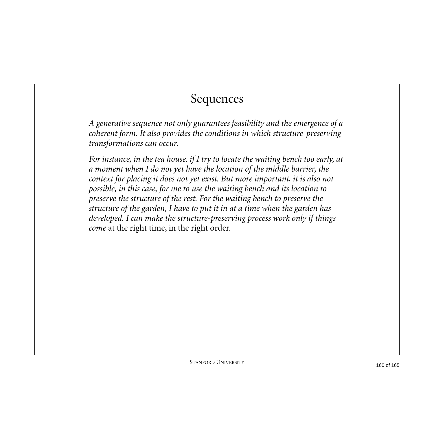#### Sequences

*A generative sequence not only guarantees feasibility and the emergence of a coherent form. It also provides the conditions in which structure-preserving transformations can occur.*

*For instance, in the tea house. if I try to locate the waiting bench too early, at a moment when I do not yet have the location of the middle barrier, the context for placing it does not yet exist. But more important, it is also not possible, in this case, for me to use the waiting bench and its location to preserve the structure of the rest. For the waiting bench to preserve the structure of the garden, I have to put it in at a time when the garden has developed. I can make the structure-preserving process work only if things come* at the right time, in the right order*.*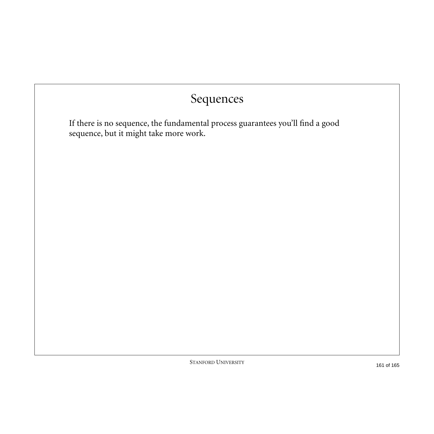#### Sequences

If there is no sequence, the fundamental process guarantees you'll find a good sequence, but it might take more work.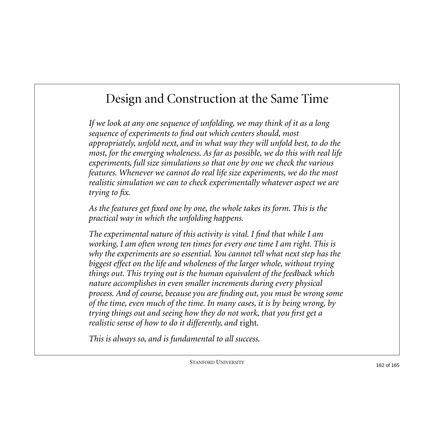#### Design and Construction at the Same Time

*If we look at any one sequence of unfolding, we may think of it as a long sequence of experiments to find out which centers should, most appropriately, unfold next, and in what way they will unfold best, to do the most, for the emerging wholeness. As far as possible, we do this with real life experiments, full size simulations so that one by one we check the various features. Whenever we cannot do real life size experiments, we do the most realistic simulation we can to check experimentally whatever aspect we are trying to fix.*

*As the features get fixed one by one, the whole takes its form. This is the practical way in which the unfolding happens.*

*The experimental nature of this activity is vital. I find that while I am working, I am often wrong ten times for every one time I am right. This is why the experiments are so essential. You cannot tell what next step has the biggest effect on the life and wholeness of the larger whole, without trying things out. This trying out is the human equivalent of the feedback which nature accomplishes in even smaller increments during every physical process. And of course, because you are finding out, you must be wrong some of the time, even much of the time. In many cases, it is by being wrong, by trying things out and seeing how they do not work, that you first get a realistic sense of how to do it differently, and* right*.*

*This is always so, and is fundamental to all success.*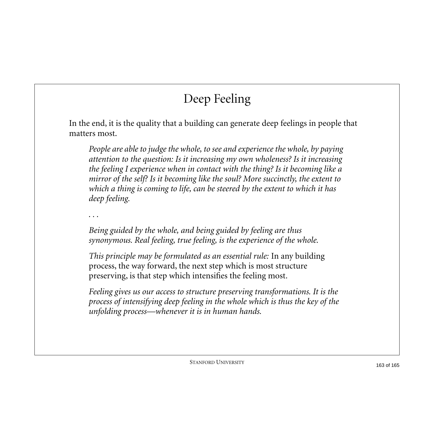# Deep Feeling

In the end, it is the quality that a building can generate deep feelings in people that matters most.

*People are able to judge the whole, to see and experience the whole, by paying attention to the question: Is it increasing my own wholeness? Is it increasing the feeling I experience when in contact with the thing? Is it becoming like a mirror of the self? Is it becoming like the soul? More succinctly, the extent to which a thing is coming to life, can be steered by the extent to which it has deep feeling.*

*. . .*

*Being guided by the whole, and being guided by feeling are thus synonymous. Real feeling, true feeling, is the experience of the whole.*

*This principle may be formulated as an essential rule:* In any building process, the way forward, the next step which is most structure preserving, is that step which intensifies the feeling most*.*

*Feeling gives us our access to structure preserving transformations. It is the process of intensifying deep feeling in the whole which is thus the key of the unfolding process—whenever it is in human hands.*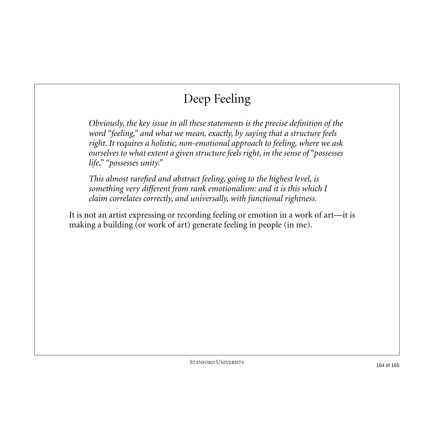## Deep Feeling

*Obviously, the key issue in all these statements is the precise definition of the word "feeling," and what we mean, exactly, by saying that a structure feels right. It requires a holistic, non-emotional approach to feeling, where we ask ourselves to what extent a given structure feels right, in the sense of "possesses life," "possesses unity."*

*This almost rarefied and abstract feeling, going to the highest level, is something very different from rank emotionalism: and it is this which I claim correlates correctly, and universally, with functional rightness.*

It is not an artist expressing or recording feeling or emotion in a work of art—it is making a building (or work of art) generate feeling in people (in me).